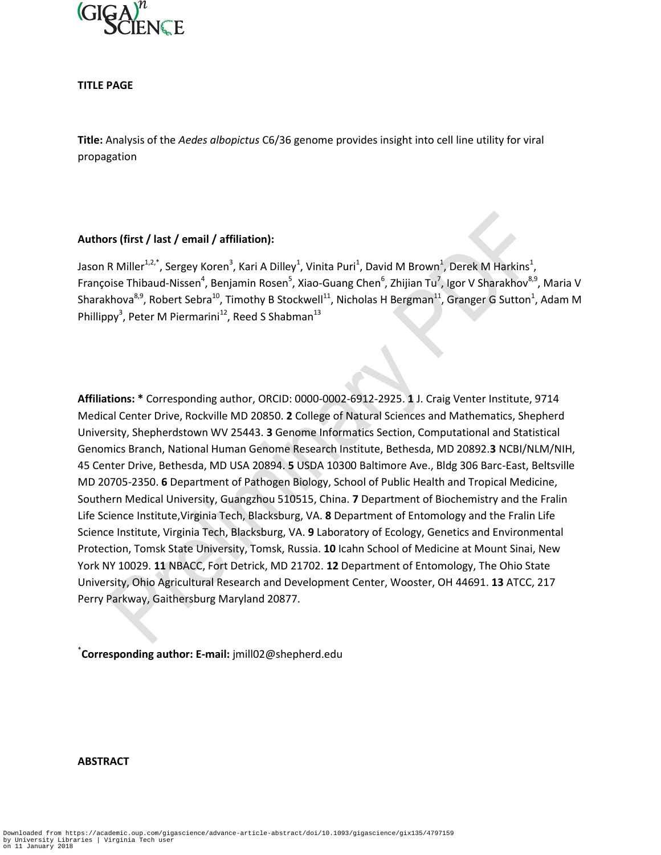

**TITLE PAGE**

**Title:** Analysis of the *Aedes albopictus* C6/36 genome provides insight into cell line utility for viral propagation

# **Authors (first / last / email / affiliation):**

Jason R Miller $^{1,2,*}$ , Sergey Koren $^3$ , Kari A Dilley $^1$ , Vinita Puri $^1$ , David M Brown $^1$ , Derek M Harkins $^1$ , Françoise Thibaud-Nissen<sup>4</sup>, Benjamin Rosen<sup>5</sup>, Xiao-Guang Chen<sup>6</sup>, Zhijian Tu<sup>7</sup>, Igor V Sharakhov<sup>8,9</sup>, Maria V Sharakhova<sup>8,9</sup>, Robert Sebra<sup>10</sup>, Timothy B Stockwell<sup>11</sup>, Nicholas H Bergman<sup>11</sup>, Granger G Sutton<sup>1</sup>, Adam M Phillippy<sup>3</sup>, Peter M Piermarini<sup>12</sup>, Reed S Shabman<sup>13</sup>

**Affiliations: \*** Corresponding author, ORCID: 0000-0002-6912-2925. **1** J. Craig Venter Institute, 9714 Medical Center Drive, Rockville MD 20850. **2** College of Natural Sciences and Mathematics, Shepherd University, Shepherdstown WV 25443. **3** Genome Informatics Section, Computational and Statistical Genomics Branch, National Human Genome Research Institute, Bethesda, MD 20892.**3** NCBI/NLM/NIH, 45 Center Drive, Bethesda, MD USA 20894. **5** USDA 10300 Baltimore Ave., Bldg 306 Barc-East, Beltsville MD 20705-2350. **6** Department of Pathogen Biology, School of Public Health and Tropical Medicine, Southern Medical University, Guangzhou 510515, China. **7** Department of Biochemistry and the Fralin Life Science Institute,Virginia Tech, Blacksburg, VA. **8** Department of Entomology and the Fralin Life Science Institute, Virginia Tech, Blacksburg, VA. **9** Laboratory of Ecology, Genetics and Environmental Protection, Tomsk State University, Tomsk, Russia. **10** Icahn School of Medicine at Mount Sinai, New York NY 10029. **11** NBACC, Fort Detrick, MD 21702. **12** Department of Entomology, The Ohio State University, Ohio Agricultural Research and Development Center, Wooster, OH 44691. **13** ATCC, 217 Perry Parkway, Gaithersburg Maryland 20877.

\* **Corresponding author: E-mail:** jmill02@shepherd.edu

### **ABSTRACT**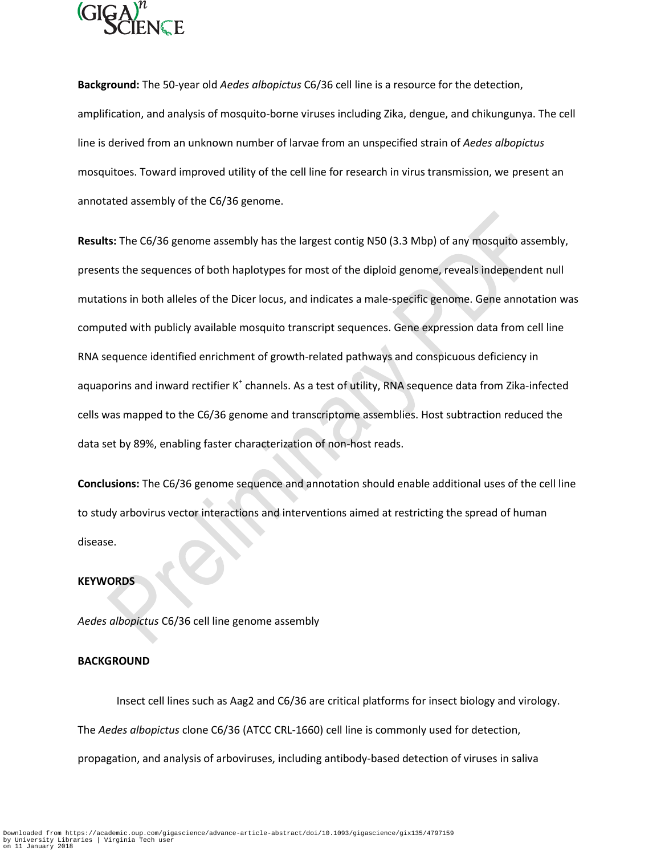

**Background:** The 50-year old *Aedes albopictus* C6/36 cell line is a resource for the detection, amplification, and analysis of mosquito-borne viruses including Zika, dengue, and chikungunya. The cell line is derived from an unknown number of larvae from an unspecified strain of *Aedes albopictus* mosquitoes. Toward improved utility of the cell line for research in virus transmission, we present an annotated assembly of the C6/36 genome.

**Results:** The C6/36 genome assembly has the largest contig N50 (3.3 Mbp) of any mosquito assembly, presents the sequences of both haplotypes for most of the diploid genome, reveals independent null mutations in both alleles of the Dicer locus, and indicates a male-specific genome. Gene annotation was computed with publicly available mosquito transcript sequences. Gene expression data from cell line RNA sequence identified enrichment of growth-related pathways and conspicuous deficiency in aquaporins and inward rectifier K<sup>+</sup> channels. As a test of utility, RNA sequence data from Zika-infected cells was mapped to the C6/36 genome and transcriptome assemblies. Host subtraction reduced the data set by 89%, enabling faster characterization of non-host reads.

**Conclusions:** The C6/36 genome sequence and annotation should enable additional uses of the cell line to study arbovirus vector interactions and interventions aimed at restricting the spread of human disease.

### **KEYWORDS**

*Aedes albopictus* C6/36 cell line genome assembly

#### **BACKGROUND**

Insect cell lines such as Aag2 and C6/36 are critical platforms for insect biology and virology. The *Aedes albopictus* clone C6/36 (ATCC CRL-1660) cell line is commonly used for detection, propagation, and analysis of arboviruses, including antibody-based detection of viruses in saliva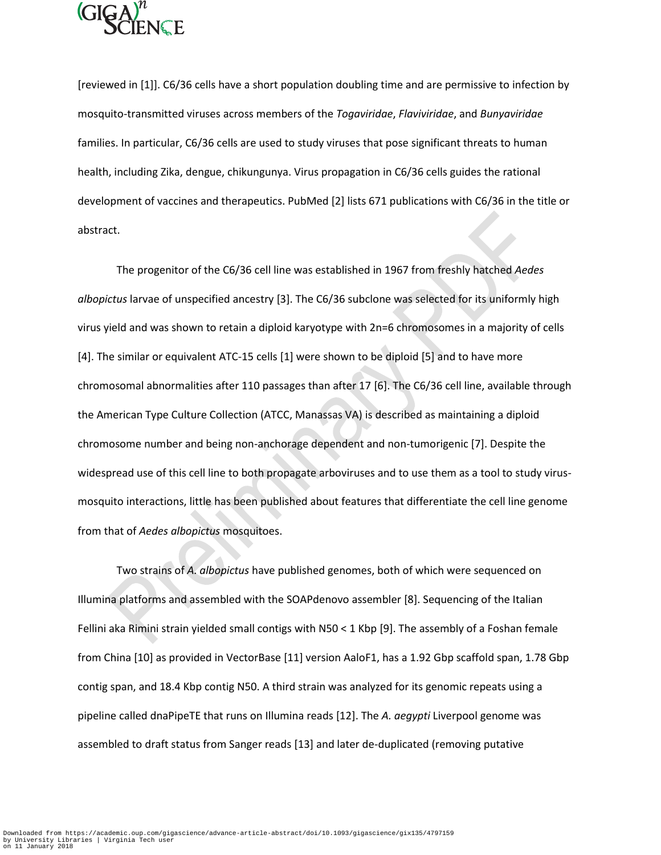

[reviewed in [1]]. C6/36 cells have a short population doubling time and are permissive to infection by mosquito-transmitted viruses across members of the *Togaviridae*, *Flaviviridae*, and *Bunyaviridae* families. In particular, C6/36 cells are used to study viruses that pose significant threats to human health, including Zika, dengue, chikungunya. Virus propagation in C6/36 cells guides the rational development of vaccines and therapeutics. PubMed [2] lists 671 publications with C6/36 in the title or abstract.

The progenitor of the C6/36 cell line was established in 1967 from freshly hatched *Aedes albopictus* larvae of unspecified ancestry [3]. The C6/36 subclone was selected for its uniformly high virus yield and was shown to retain a diploid karyotype with 2n=6 chromosomes in a majority of cells [4]. The similar or equivalent ATC-15 cells [1] were shown to be diploid [5] and to have more chromosomal abnormalities after 110 passages than after 17 [6]. The C6/36 cell line, available through the American Type Culture Collection (ATCC, Manassas VA) is described as maintaining a diploid chromosome number and being non-anchorage dependent and non-tumorigenic [7]. Despite the widespread use of this cell line to both propagate arboviruses and to use them as a tool to study virusmosquito interactions, little has been published about features that differentiate the cell line genome from that of *Aedes albopictus* mosquitoes.

Two strains of *A. albopictus* have published genomes, both of which were sequenced on Illumina platforms and assembled with the SOAPdenovo assembler [8]. Sequencing of the Italian Fellini aka Rimini strain yielded small contigs with N50 < 1 Kbp [9]. The assembly of a Foshan female from China [10] as provided in VectorBase [11] version AaloF1, has a 1.92 Gbp scaffold span, 1.78 Gbp contig span, and 18.4 Kbp contig N50. A third strain was analyzed for its genomic repeats using a pipeline called dnaPipeTE that runs on Illumina reads [12]. The *A. aegypti* Liverpool genome was assembled to draft status from Sanger reads [13] and later de-duplicated (removing putative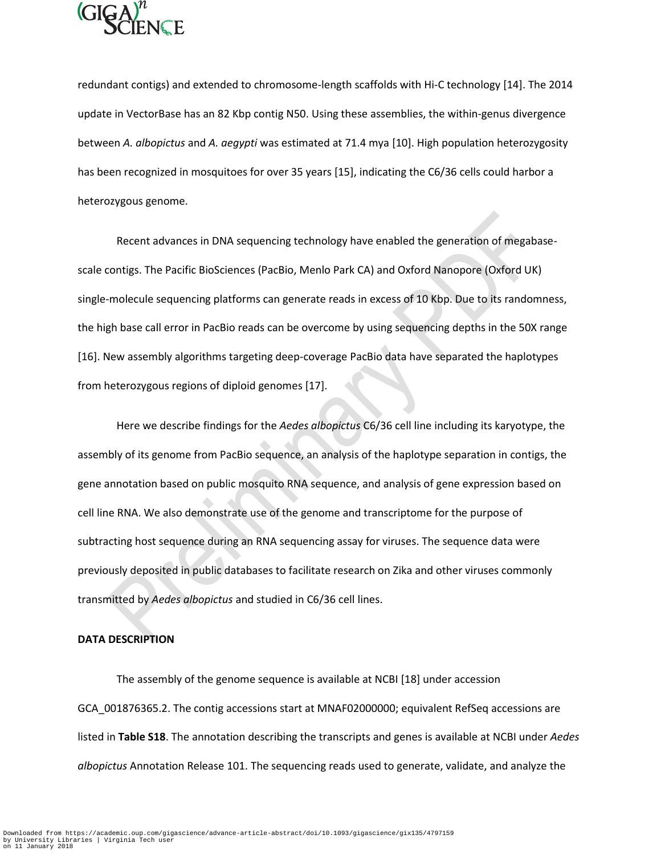

redundant contigs) and extended to chromosome-length scaffolds with Hi-C technology [14]. The 2014 update in VectorBase has an 82 Kbp contig N50. Using these assemblies, the within-genus divergence between *A. albopictus* and *A. aegypti* was estimated at 71.4 mya [10]. High population heterozygosity has been recognized in mosquitoes for over 35 years [15], indicating the C6/36 cells could harbor a heterozygous genome.

Recent advances in DNA sequencing technology have enabled the generation of megabasescale contigs. The Pacific BioSciences (PacBio, Menlo Park CA) and Oxford Nanopore (Oxford UK) single-molecule sequencing platforms can generate reads in excess of 10 Kbp. Due to its randomness, the high base call error in PacBio reads can be overcome by using sequencing depths in the 50X range [16]. New assembly algorithms targeting deep-coverage PacBio data have separated the haplotypes from heterozygous regions of diploid genomes [17].

Here we describe findings for the *Aedes albopictus* C6/36 cell line including its karyotype, the assembly of its genome from PacBio sequence, an analysis of the haplotype separation in contigs, the gene annotation based on public mosquito RNA sequence, and analysis of gene expression based on cell line RNA. We also demonstrate use of the genome and transcriptome for the purpose of subtracting host sequence during an RNA sequencing assay for viruses. The sequence data were previously deposited in public databases to facilitate research on Zika and other viruses commonly transmitted by *Aedes albopictus* and studied in C6/36 cell lines.

### **DATA DESCRIPTION**

The assembly of the genome sequence is available at NCBI [18] under accession GCA\_001876365.2. The contig accessions start at MNAF02000000; equivalent RefSeq accessions are listed in **Table S18**. The annotation describing the transcripts and genes is available at NCBI under *Aedes albopictus* Annotation Release 101. The sequencing reads used to generate, validate, and analyze the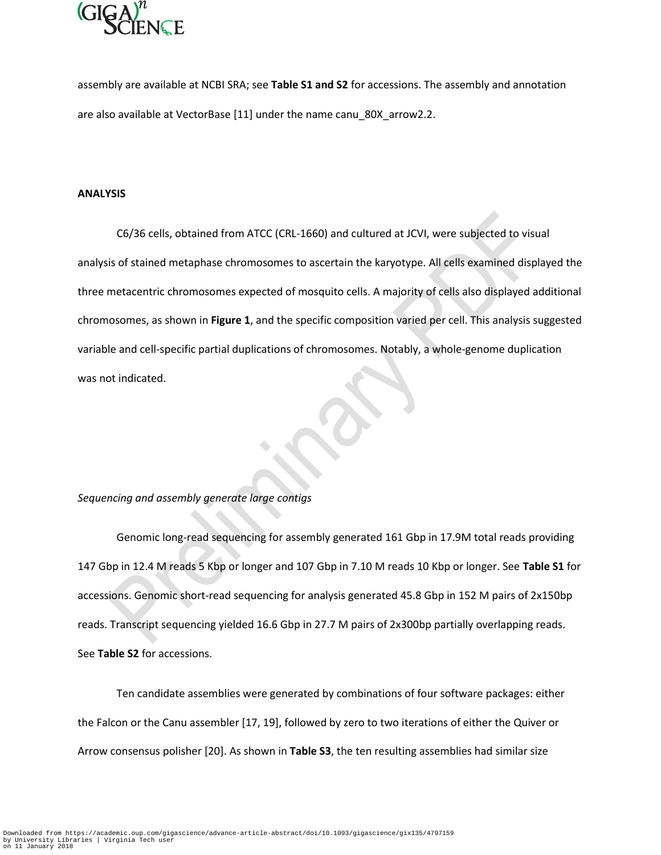

assembly are available at NCBI SRA; see **Table S1 and S2** for accessions. The assembly and annotation are also available at VectorBase [11] under the name canu\_80X\_arrow2.2.

#### **ANALYSIS**

C6/36 cells, obtained from ATCC (CRL-1660) and cultured at JCVI, were subjected to visual analysis of stained metaphase chromosomes to ascertain the karyotype. All cells examined displayed the three metacentric chromosomes expected of mosquito cells. A majority of cells also displayed additional chromosomes, as shown in **Figure 1**, and the specific composition varied per cell. This analysis suggested variable and cell-specific partial duplications of chromosomes. Notably, a whole-genome duplication was not indicated.

# *Sequencing and assembly generate large contigs*

Genomic long-read sequencing for assembly generated 161 Gbp in 17.9M total reads providing 147 Gbp in 12.4 M reads 5 Kbp or longer and 107 Gbp in 7.10 M reads 10 Kbp or longer. See **Table S1** for accessions. Genomic short-read sequencing for analysis generated 45.8 Gbp in 152 M pairs of 2x150bp reads. Transcript sequencing yielded 16.6 Gbp in 27.7 M pairs of 2x300bp partially overlapping reads. See **Table S2** for accessions.

Ten candidate assemblies were generated by combinations of four software packages: either the Falcon or the Canu assembler [17, 19], followed by zero to two iterations of either the Quiver or Arrow consensus polisher [20]. As shown in **Table S3**, the ten resulting assemblies had similar size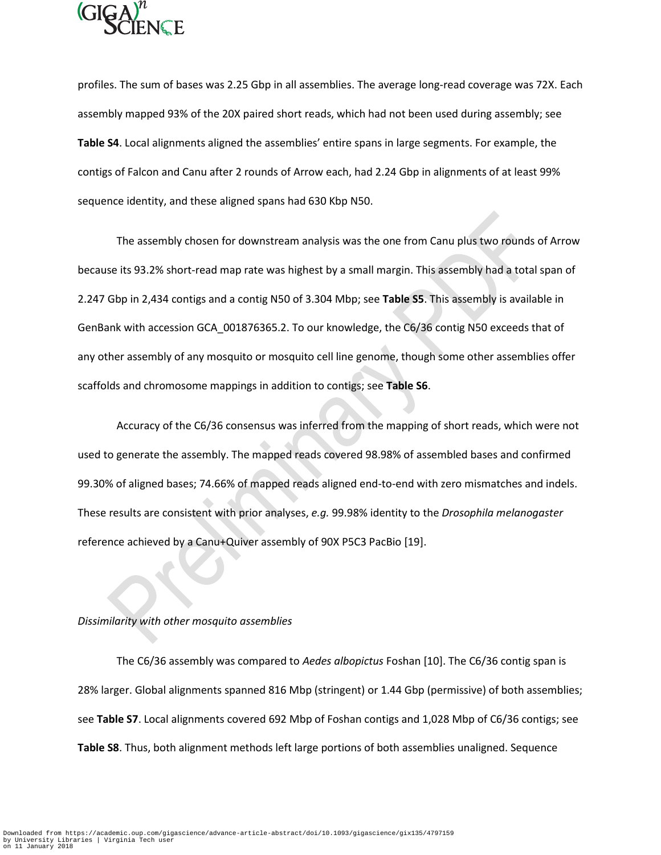

profiles. The sum of bases was 2.25 Gbp in all assemblies. The average long-read coverage was 72X. Each assembly mapped 93% of the 20X paired short reads, which had not been used during assembly; see **Table S4**. Local alignments aligned the assemblies' entire spans in large segments. For example, the contigs of Falcon and Canu after 2 rounds of Arrow each, had 2.24 Gbp in alignments of at least 99% sequence identity, and these aligned spans had 630 Kbp N50.

The assembly chosen for downstream analysis was the one from Canu plus two rounds of Arrow because its 93.2% short-read map rate was highest by a small margin. This assembly had a total span of 2.247 Gbp in 2,434 contigs and a contig N50 of 3.304 Mbp; see **Table S5**. This assembly is available in GenBank with accession GCA\_001876365.2. To our knowledge, the C6/36 contig N50 exceeds that of any other assembly of any mosquito or mosquito cell line genome, though some other assemblies offer scaffolds and chromosome mappings in addition to contigs; see **Table S6**.

Accuracy of the C6/36 consensus was inferred from the mapping of short reads, which were not used to generate the assembly. The mapped reads covered 98.98% of assembled bases and confirmed 99.30% of aligned bases; 74.66% of mapped reads aligned end-to-end with zero mismatches and indels. These results are consistent with prior analyses, *e.g.* 99.98% identity to the *Drosophila melanogaster* reference achieved by a Canu+Quiver assembly of 90X P5C3 PacBio [19].

### *Dissimilarity with other mosquito assemblies*

The C6/36 assembly was compared to *Aedes albopictus* Foshan [10]. The C6/36 contig span is 28% larger. Global alignments spanned 816 Mbp (stringent) or 1.44 Gbp (permissive) of both assemblies; see **Table S7**. Local alignments covered 692 Mbp of Foshan contigs and 1,028 Mbp of C6/36 contigs; see **Table S8**. Thus, both alignment methods left large portions of both assemblies unaligned. Sequence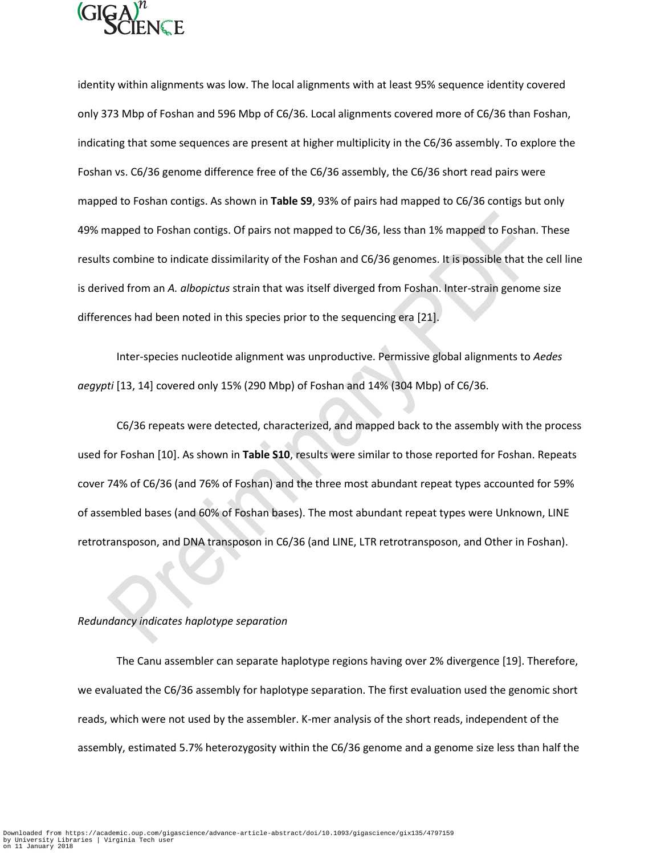

identity within alignments was low. The local alignments with at least 95% sequence identity covered only 373 Mbp of Foshan and 596 Mbp of C6/36. Local alignments covered more of C6/36 than Foshan, indicating that some sequences are present at higher multiplicity in the C6/36 assembly. To explore the Foshan vs. C6/36 genome difference free of the C6/36 assembly, the C6/36 short read pairs were mapped to Foshan contigs. As shown in **Table S9**, 93% of pairs had mapped to C6/36 contigs but only 49% mapped to Foshan contigs. Of pairs not mapped to C6/36, less than 1% mapped to Foshan. These results combine to indicate dissimilarity of the Foshan and C6/36 genomes. It is possible that the cell line is derived from an *A. albopictus* strain that was itself diverged from Foshan. Inter-strain genome size differences had been noted in this species prior to the sequencing era [21].

Inter-species nucleotide alignment was unproductive. Permissive global alignments to *Aedes aegypti* [13, 14] covered only 15% (290 Mbp) of Foshan and 14% (304 Mbp) of C6/36.

C6/36 repeats were detected, characterized, and mapped back to the assembly with the process used for Foshan [10]. As shown in **Table S10**, results were similar to those reported for Foshan. Repeats cover 74% of C6/36 (and 76% of Foshan) and the three most abundant repeat types accounted for 59% of assembled bases (and 60% of Foshan bases). The most abundant repeat types were Unknown, LINE retrotransposon, and DNA transposon in C6/36 (and LINE, LTR retrotransposon, and Other in Foshan).

### *Redundancy indicates haplotype separation*

The Canu assembler can separate haplotype regions having over 2% divergence [19]. Therefore, we evaluated the C6/36 assembly for haplotype separation. The first evaluation used the genomic short reads, which were not used by the assembler. K-mer analysis of the short reads, independent of the assembly, estimated 5.7% heterozygosity within the C6/36 genome and a genome size less than half the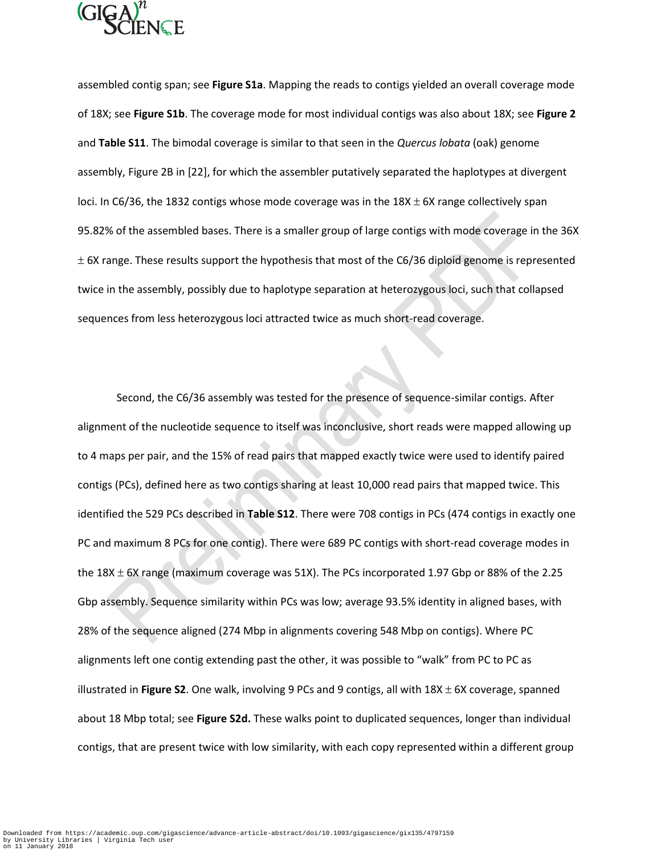

assembled contig span; see **Figure S1a**. Mapping the reads to contigs yielded an overall coverage mode of 18X; see **Figure S1b**. The coverage mode for most individual contigs was also about 18X; see **Figure 2** and **Table S11**. The bimodal coverage is similar to that seen in the *Quercus lobata* (oak) genome assembly, Figure 2B in [22], for which the assembler putatively separated the haplotypes at divergent loci. In C6/36, the 1832 contigs whose mode coverage was in the  $18X \pm 6X$  range collectively span 95.82% of the assembled bases. There is a smaller group of large contigs with mode coverage in the 36X  $\pm$  6X range. These results support the hypothesis that most of the C6/36 diploid genome is represented twice in the assembly, possibly due to haplotype separation at heterozygous loci, such that collapsed sequences from less heterozygous loci attracted twice as much short-read coverage.

Second, the C6/36 assembly was tested for the presence of sequence-similar contigs. After alignment of the nucleotide sequence to itself was inconclusive, short reads were mapped allowing up to 4 maps per pair, and the 15% of read pairs that mapped exactly twice were used to identify paired contigs (PCs), defined here as two contigs sharing at least 10,000 read pairs that mapped twice. This identified the 529 PCs described in **Table S12**. There were 708 contigs in PCs (474 contigs in exactly one PC and maximum 8 PCs for one contig). There were 689 PC contigs with short-read coverage modes in the 18X  $\pm$  6X range (maximum coverage was 51X). The PCs incorporated 1.97 Gbp or 88% of the 2.25 Gbp assembly. Sequence similarity within PCs was low; average 93.5% identity in aligned bases, with 28% of the sequence aligned (274 Mbp in alignments covering 548 Mbp on contigs). Where PC alignments left one contig extending past the other, it was possible to "walk" from PC to PC as illustrated in Figure S2. One walk, involving 9 PCs and 9 contigs, all with 18X ± 6X coverage, spanned about 18 Mbp total; see **Figure S2d.** These walks point to duplicated sequences, longer than individual contigs, that are present twice with low similarity, with each copy represented within a different group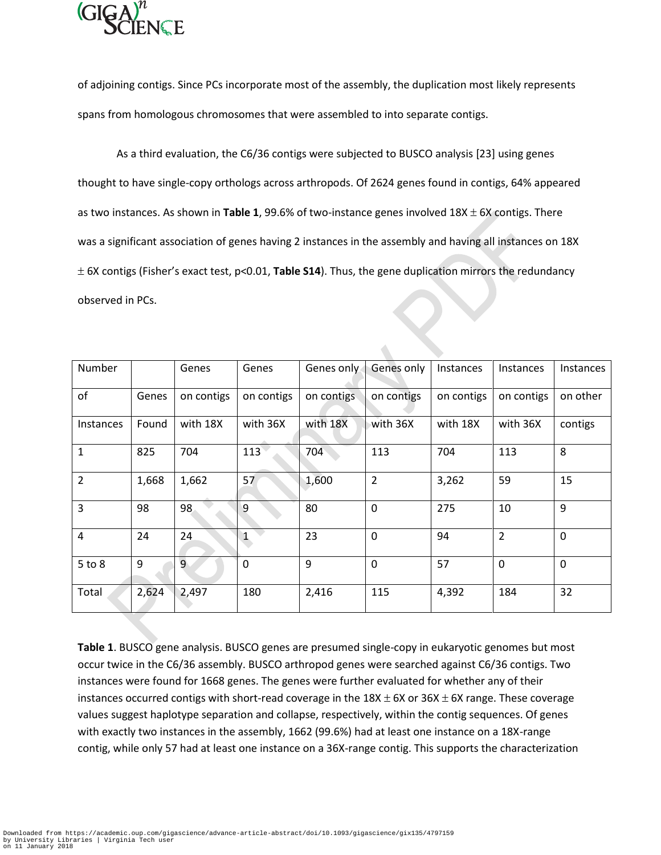

of adjoining contigs. Since PCs incorporate most of the assembly, the duplication most likely represents spans from homologous chromosomes that were assembled to into separate contigs.

As a third evaluation, the C6/36 contigs were subjected to BUSCO analysis [23] using genes thought to have single-copy orthologs across arthropods. Of 2624 genes found in contigs, 64% appeared as two instances. As shown in **Table 1**, 99.6% of two-instance genes involved  $18X \pm 6X$  contigs. There was a significant association of genes having 2 instances in the assembly and having all instances on 18X 6X contigs (Fisher's exact test, p<0.01, **Table S14**). Thus, the gene duplication mirrors the redundancy observed in PCs.

| Number           |       | Genes          | Genes        | Genes only | Genes only     | Instances  | <b>Instances</b> | Instances      |
|------------------|-------|----------------|--------------|------------|----------------|------------|------------------|----------------|
| of               | Genes | on contigs     | on contigs   | on contigs | on contigs     | on contigs | on contigs       | on other       |
| <b>Instances</b> | Found | with 18X       | with 36X     | with 18X   | with 36X       | with 18X   | with 36X         | contigs        |
| 1                | 825   | 704            | 113          | 704        | 113            | 704        | 113              | 8              |
| $\overline{2}$   | 1,668 | 1,662          | 57           | 1,600      | $\overline{2}$ | 3,262      | 59               | 15             |
| 3                | 98    | 98             | 9            | 80         | $\mathbf 0$    | 275        | 10               | $\overline{9}$ |
| 4                | 24    | 24             | $\mathbf{1}$ | 23         | $\mathbf 0$    | 94         | $\overline{2}$   | $\mathbf 0$    |
| $5$ to $8$       | 9     | $\overline{9}$ | $\mathbf 0$  | 9          | $\mathbf 0$    | 57         | $\mathbf 0$      | $\mathbf{0}$   |
| Total            | 2,624 | 2,497          | 180          | 2,416      | 115            | 4,392      | 184              | 32             |

**Table 1**. BUSCO gene analysis. BUSCO genes are presumed single-copy in eukaryotic genomes but most occur twice in the C6/36 assembly. BUSCO arthropod genes were searched against C6/36 contigs. Two instances were found for 1668 genes. The genes were further evaluated for whether any of their instances occurred contigs with short-read coverage in the  $18X \pm 6X$  or  $36X \pm 6X$  range. These coverage values suggest haplotype separation and collapse, respectively, within the contig sequences. Of genes with exactly two instances in the assembly, 1662 (99.6%) had at least one instance on a 18X-range contig, while only 57 had at least one instance on a 36X-range contig. This supports the characterization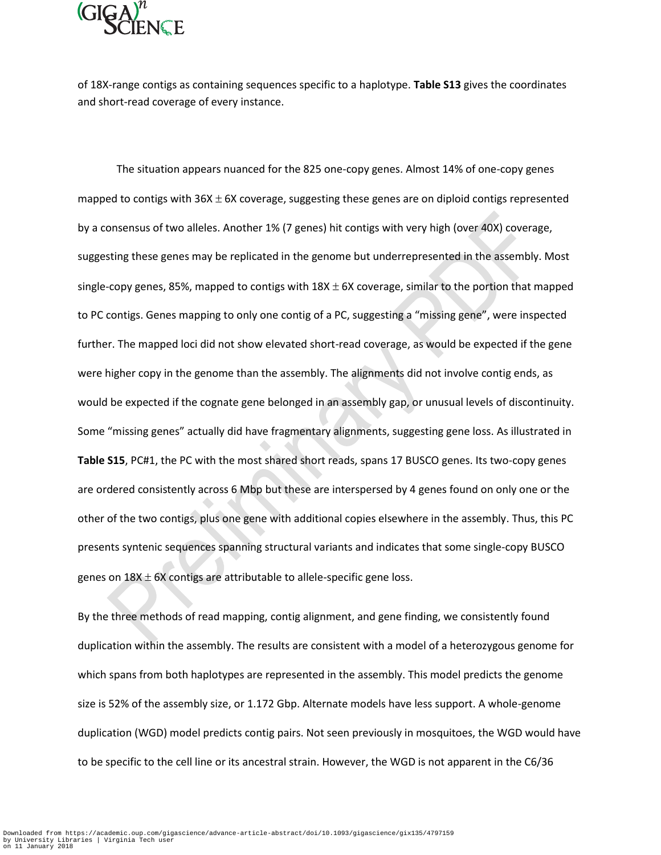

of 18X-range contigs as containing sequences specific to a haplotype. **Table S13** gives the coordinates and short-read coverage of every instance.

The situation appears nuanced for the 825 one-copy genes. Almost 14% of one-copy genes mapped to contigs with  $36X \pm 6X$  coverage, suggesting these genes are on diploid contigs represented by a consensus of two alleles. Another 1% (7 genes) hit contigs with very high (over 40X) coverage, suggesting these genes may be replicated in the genome but underrepresented in the assembly. Most single-copy genes, 85%, mapped to contigs with  $18X \pm 6X$  coverage, similar to the portion that mapped to PC contigs. Genes mapping to only one contig of a PC, suggesting a "missing gene", were inspected further. The mapped loci did not show elevated short-read coverage, as would be expected if the gene were higher copy in the genome than the assembly. The alignments did not involve contig ends, as would be expected if the cognate gene belonged in an assembly gap, or unusual levels of discontinuity. Some "missing genes" actually did have fragmentary alignments, suggesting gene loss. As illustrated in **Table S15**, PC#1, the PC with the most shared short reads, spans 17 BUSCO genes. Its two-copy genes are ordered consistently across 6 Mbp but these are interspersed by 4 genes found on only one or the other of the two contigs, plus one gene with additional copies elsewhere in the assembly. Thus, this PC presents syntenic sequences spanning structural variants and indicates that some single-copy BUSCO genes on  $18X \pm 6X$  contigs are attributable to allele-specific gene loss.

By the three methods of read mapping, contig alignment, and gene finding, we consistently found duplication within the assembly. The results are consistent with a model of a heterozygous genome for which spans from both haplotypes are represented in the assembly. This model predicts the genome size is 52% of the assembly size, or 1.172 Gbp. Alternate models have less support. A whole-genome duplication (WGD) model predicts contig pairs. Not seen previously in mosquitoes, the WGD would have to be specific to the cell line or its ancestral strain. However, the WGD is not apparent in the C6/36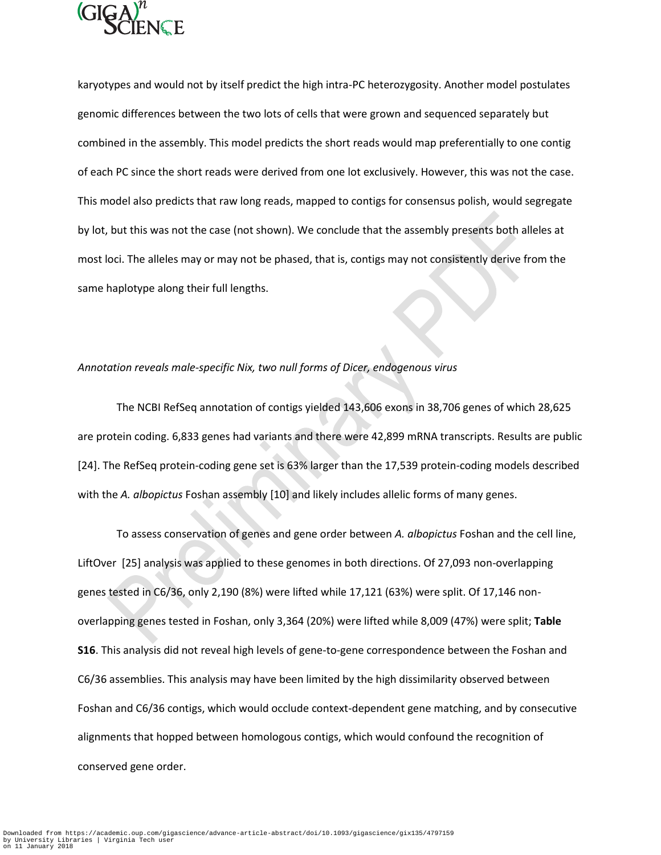

karyotypes and would not by itself predict the high intra-PC heterozygosity. Another model postulates genomic differences between the two lots of cells that were grown and sequenced separately but combined in the assembly. This model predicts the short reads would map preferentially to one contig of each PC since the short reads were derived from one lot exclusively. However, this was not the case. This model also predicts that raw long reads, mapped to contigs for consensus polish, would segregate by lot, but this was not the case (not shown). We conclude that the assembly presents both alleles at most loci. The alleles may or may not be phased, that is, contigs may not consistently derive from the same haplotype along their full lengths.

# *Annotation reveals male-specific Nix, two null forms of Dicer, endogenous virus*

The NCBI RefSeq annotation of contigs yielded 143,606 exons in 38,706 genes of which 28,625 are protein coding. 6,833 genes had variants and there were 42,899 mRNA transcripts. Results are public [24]. The RefSeq protein-coding gene set is 63% larger than the 17,539 protein-coding models described with the *A. albopictus* Foshan assembly [10] and likely includes allelic forms of many genes.

To assess conservation of genes and gene order between *A. albopictus* Foshan and the cell line, LiftOver [25] analysis was applied to these genomes in both directions. Of 27,093 non-overlapping genes tested in C6/36, only 2,190 (8%) were lifted while 17,121 (63%) were split. Of 17,146 nonoverlapping genes tested in Foshan, only 3,364 (20%) were lifted while 8,009 (47%) were split; **Table S16**. This analysis did not reveal high levels of gene-to-gene correspondence between the Foshan and C6/36 assemblies. This analysis may have been limited by the high dissimilarity observed between Foshan and C6/36 contigs, which would occlude context-dependent gene matching, and by consecutive alignments that hopped between homologous contigs, which would confound the recognition of conserved gene order.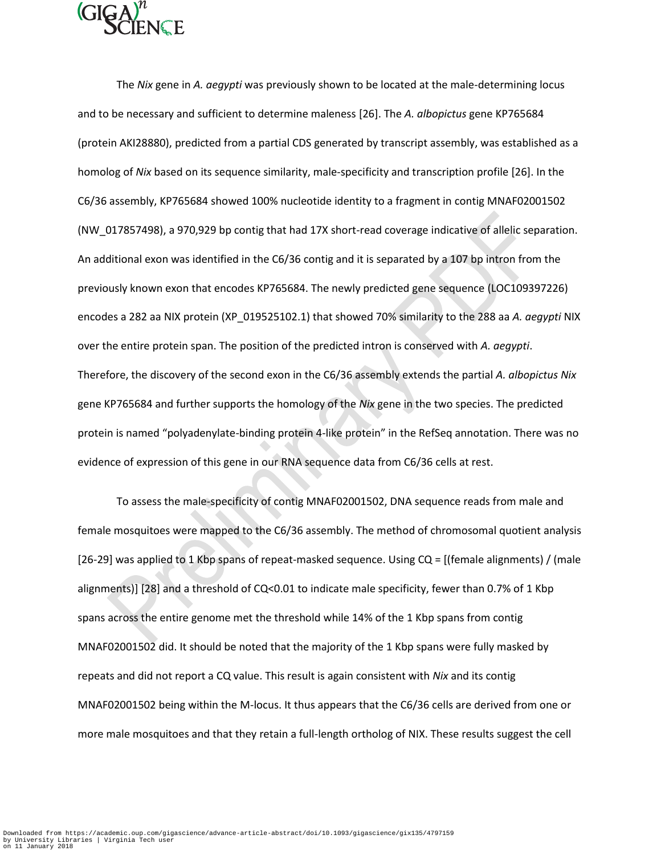

The *Nix* gene in *A. aegypti* was previously shown to be located at the male-determining locus and to be necessary and sufficient to determine maleness [26]. The *A. albopictus* gene KP765684 (protein AKI28880), predicted from a partial CDS generated by transcript assembly, was established as a homolog of *Nix* based on its sequence similarity, male-specificity and transcription profile [26]. In the C6/36 assembly, KP765684 showed 100% nucleotide identity to a fragment in contig MNAF02001502 (NW\_017857498), a 970,929 bp contig that had 17X short-read coverage indicative of allelic separation. An additional exon was identified in the C6/36 contig and it is separated by a 107 bp intron from the previously known exon that encodes KP765684. The newly predicted gene sequence (LOC109397226) encodes a 282 aa NIX protein (XP\_019525102.1) that showed 70% similarity to the 288 aa *A. aegypti* NIX over the entire protein span. The position of the predicted intron is conserved with *A. aegypti*. Therefore, the discovery of the second exon in the C6/36 assembly extends the partial *A. albopictus Nix*  gene KP765684 and further supports the homology of the *Nix* gene in the two species. The predicted protein is named "polyadenylate-binding protein 4-like protein" in the RefSeq annotation. There was no evidence of expression of this gene in our RNA sequence data from C6/36 cells at rest.

To assess the male-specificity of contig MNAF02001502, DNA sequence reads from male and female mosquitoes were mapped to the C6/36 assembly. The method of chromosomal quotient analysis [26-29] was applied to 1 Kbp spans of repeat-masked sequence. Using CQ = [(female alignments) / (male alignments)] [28] and a threshold of CQ<0.01 to indicate male specificity, fewer than 0.7% of 1 Kbp spans across the entire genome met the threshold while 14% of the 1 Kbp spans from contig MNAF02001502 did. It should be noted that the majority of the 1 Kbp spans were fully masked by repeats and did not report a CQ value. This result is again consistent with *Nix* and its contig MNAF02001502 being within the M-locus. It thus appears that the C6/36 cells are derived from one or more male mosquitoes and that they retain a full-length ortholog of NIX. These results suggest the cell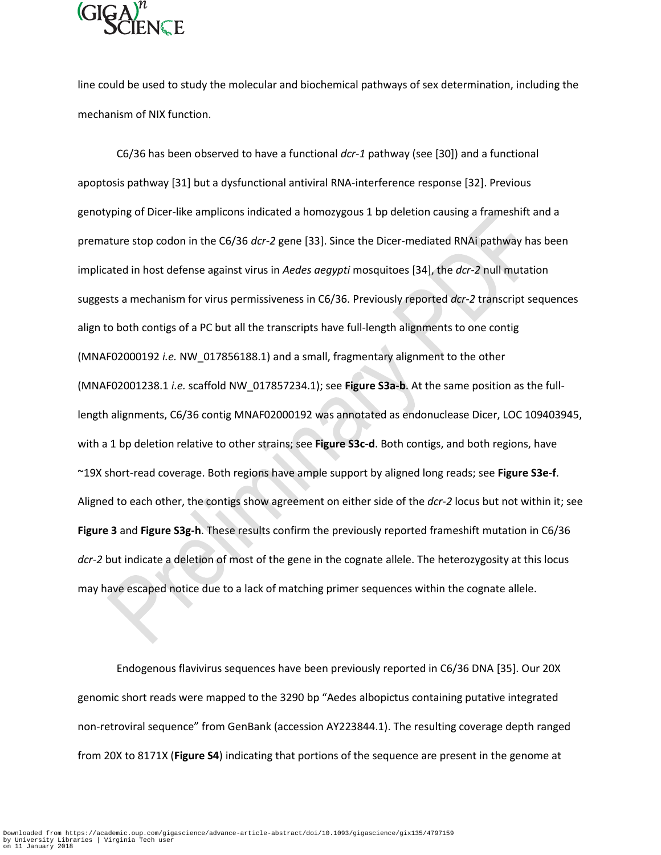

line could be used to study the molecular and biochemical pathways of sex determination, including the mechanism of NIX function.

C6/36 has been observed to have a functional *dcr-1* pathway (see [30]) and a functional apoptosis pathway [31] but a dysfunctional antiviral RNA-interference response [32]. Previous genotyping of Dicer-like amplicons indicated a homozygous 1 bp deletion causing a frameshift and a premature stop codon in the C6/36 *dcr-2* gene [33]. Since the Dicer-mediated RNAi pathway has been implicated in host defense against virus in *Aedes aegypti* mosquitoes [34], the *dcr-2* null mutation suggests a mechanism for virus permissiveness in C6/36. Previously reported *dcr-2* transcript sequences align to both contigs of a PC but all the transcripts have full-length alignments to one contig (MNAF02000192 *i.e.* NW\_017856188.1) and a small, fragmentary alignment to the other (MNAF02001238.1 *i.e.* scaffold NW\_017857234.1); see **Figure S3a-b**. At the same position as the fulllength alignments, C6/36 contig MNAF02000192 was annotated as endonuclease Dicer, LOC 109403945, with a 1 bp deletion relative to other strains; see **Figure S3c-d**. Both contigs, and both regions, have ~19X short-read coverage. Both regions have ample support by aligned long reads; see **Figure S3e-f**. Aligned to each other, the contigs show agreement on either side of the *dcr-2* locus but not within it; see **Figure 3** and **Figure S3g-h**. These results confirm the previously reported frameshift mutation in C6/36 *dcr-2* but indicate a deletion of most of the gene in the cognate allele. The heterozygosity at this locus may have escaped notice due to a lack of matching primer sequences within the cognate allele.

Endogenous flavivirus sequences have been previously reported in C6/36 DNA [35]. Our 20X genomic short reads were mapped to the 3290 bp "Aedes albopictus containing putative integrated non-retroviral sequence" from GenBank (accession AY223844.1). The resulting coverage depth ranged from 20X to 8171X (**Figure S4**) indicating that portions of the sequence are present in the genome at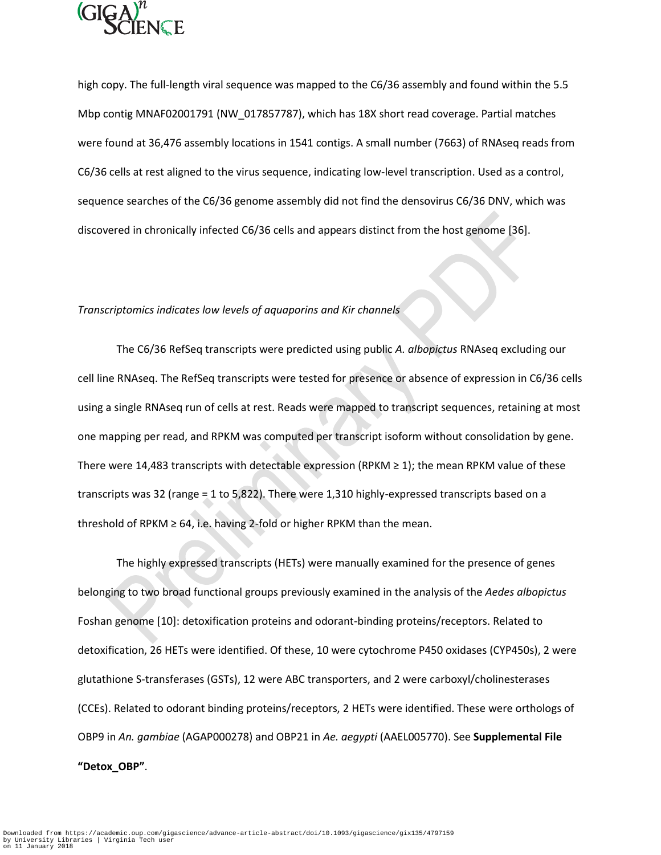

high copy. The full-length viral sequence was mapped to the C6/36 assembly and found within the 5.5 Mbp contig MNAF02001791 (NW\_017857787), which has 18X short read coverage. Partial matches were found at 36,476 assembly locations in 1541 contigs. A small number (7663) of RNAseq reads from C6/36 cells at rest aligned to the virus sequence, indicating low-level transcription. Used as a control, sequence searches of the C6/36 genome assembly did not find the densovirus C6/36 DNV, which was discovered in chronically infected C6/36 cells and appears distinct from the host genome [36].

## *Transcriptomics indicates low levels of aquaporins and Kir channels*

The C6/36 RefSeq transcripts were predicted using public *A. albopictus* RNAseq excluding our cell line RNAseq. The RefSeq transcripts were tested for presence or absence of expression in C6/36 cells using a single RNAseq run of cells at rest. Reads were mapped to transcript sequences, retaining at most one mapping per read, and RPKM was computed per transcript isoform without consolidation by gene. There were 14,483 transcripts with detectable expression (RPKM  $\geq$  1); the mean RPKM value of these transcripts was 32 (range = 1 to 5,822). There were 1,310 highly-expressed transcripts based on a threshold of RPKM  $\geq$  64, i.e. having 2-fold or higher RPKM than the mean.

The highly expressed transcripts (HETs) were manually examined for the presence of genes belonging to two broad functional groups previously examined in the analysis of the *Aedes albopictus* Foshan genome [10]: detoxification proteins and odorant-binding proteins/receptors. Related to detoxification, 26 HETs were identified. Of these, 10 were cytochrome P450 oxidases (CYP450s), 2 were glutathione S-transferases (GSTs), 12 were ABC transporters, and 2 were carboxyl/cholinesterases (CCEs). Related to odorant binding proteins/receptors, 2 HETs were identified. These were orthologs of OBP9 in *An. gambiae* (AGAP000278) and OBP21 in *Ae. aegypti* (AAEL005770). See **Supplemental File "Detox\_OBP"**.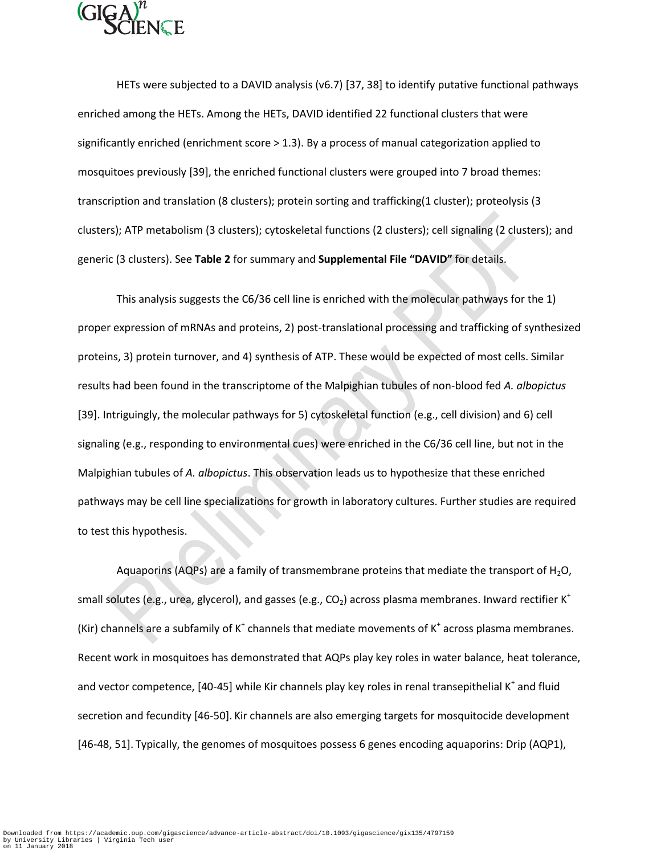

HETs were subjected to a DAVID analysis (v6.7) [37, 38] to identify putative functional pathways enriched among the HETs. Among the HETs, DAVID identified 22 functional clusters that were significantly enriched (enrichment score > 1.3). By a process of manual categorization applied to mosquitoes previously [39], the enriched functional clusters were grouped into 7 broad themes: transcription and translation (8 clusters); protein sorting and trafficking(1 cluster); proteolysis (3 clusters); ATP metabolism (3 clusters); cytoskeletal functions (2 clusters); cell signaling (2 clusters); and generic (3 clusters). See **Table 2** for summary and **Supplemental File "DAVID"** for details.

This analysis suggests the C6/36 cell line is enriched with the molecular pathways for the 1) proper expression of mRNAs and proteins, 2) post-translational processing and trafficking of synthesized proteins, 3) protein turnover, and 4) synthesis of ATP. These would be expected of most cells. Similar results had been found in the transcriptome of the Malpighian tubules of non-blood fed *A. albopictus* [39]. Intriguingly, the molecular pathways for 5) cytoskeletal function (e.g., cell division) and 6) cell signaling (e.g., responding to environmental cues) were enriched in the C6/36 cell line, but not in the Malpighian tubules of *A. albopictus*. This observation leads us to hypothesize that these enriched pathways may be cell line specializations for growth in laboratory cultures. Further studies are required to test this hypothesis.

Aquaporins (AQPs) are a family of transmembrane proteins that mediate the transport of  $H_2O$ , small solutes (e.g., urea, glycerol), and gasses (e.g.,  $CO<sub>2</sub>$ ) across plasma membranes. Inward rectifier K<sup>+</sup> (Kir) channels are a subfamily of  $K^+$  channels that mediate movements of  $K^+$  across plasma membranes. Recent work in mosquitoes has demonstrated that AQPs play key roles in water balance, heat tolerance, and vector competence, [40-45] while Kir channels play key roles in renal transepithelial K<sup>+</sup> and fluid secretion and fecundity [46-50]. Kir channels are also emerging targets for mosquitocide development [46-48, 51]. Typically, the genomes of mosquitoes possess 6 genes encoding aquaporins: Drip (AQP1),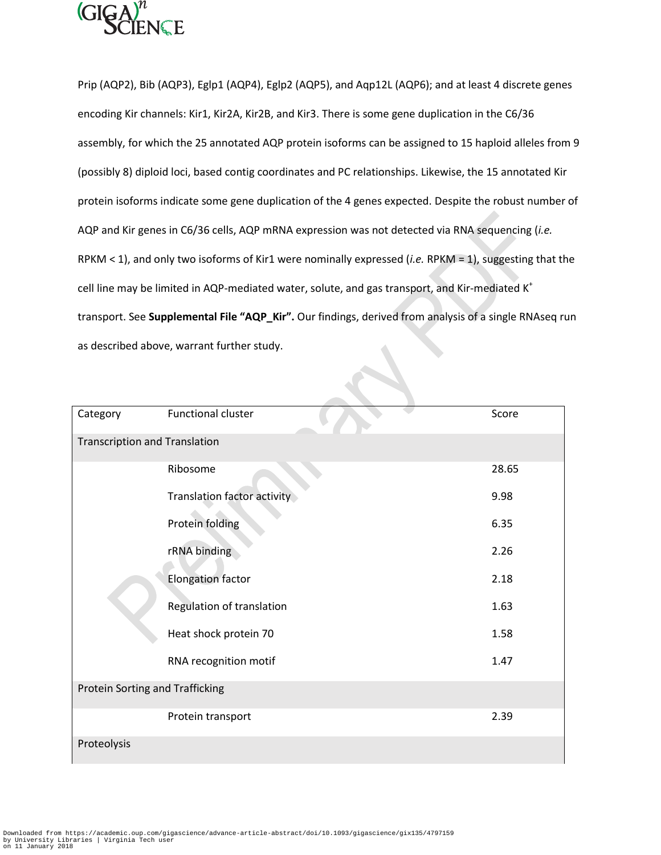

Prip (AQP2), Bib (AQP3), Eglp1 (AQP4), Eglp2 (AQP5), and Aqp12L (AQP6); and at least 4 discrete genes encoding Kir channels: Kir1, Kir2A, Kir2B, and Kir3. There is some gene duplication in the C6/36 assembly, for which the 25 annotated AQP protein isoforms can be assigned to 15 haploid alleles from 9 (possibly 8) diploid loci, based contig coordinates and PC relationships. Likewise, the 15 annotated Kir protein isoforms indicate some gene duplication of the 4 genes expected. Despite the robust number of AQP and Kir genes in C6/36 cells, AQP mRNA expression was not detected via RNA sequencing (*i.e.* RPKM < 1), and only two isoforms of Kir1 were nominally expressed (*i.e.* RPKM = 1), suggesting that the cell line may be limited in AQP-mediated water, solute, and gas transport, and Kir-mediated K<sup>+</sup> transport. See **Supplemental File "AQP\_Kir".** Our findings, derived from analysis of a single RNAseq run as described above, warrant further study.

| Category                             | Functional cluster          | Score |  |  |  |  |  |  |
|--------------------------------------|-----------------------------|-------|--|--|--|--|--|--|
| <b>Transcription and Translation</b> |                             |       |  |  |  |  |  |  |
|                                      | Ribosome                    | 28.65 |  |  |  |  |  |  |
|                                      | Translation factor activity | 9.98  |  |  |  |  |  |  |
|                                      | Protein folding             | 6.35  |  |  |  |  |  |  |
|                                      | rRNA binding                | 2.26  |  |  |  |  |  |  |
|                                      | <b>Elongation factor</b>    | 2.18  |  |  |  |  |  |  |
|                                      | Regulation of translation   | 1.63  |  |  |  |  |  |  |
|                                      | Heat shock protein 70       | 1.58  |  |  |  |  |  |  |
|                                      | RNA recognition motif       | 1.47  |  |  |  |  |  |  |
| Protein Sorting and Trafficking      |                             |       |  |  |  |  |  |  |
|                                      | Protein transport           | 2.39  |  |  |  |  |  |  |
| Proteolysis                          |                             |       |  |  |  |  |  |  |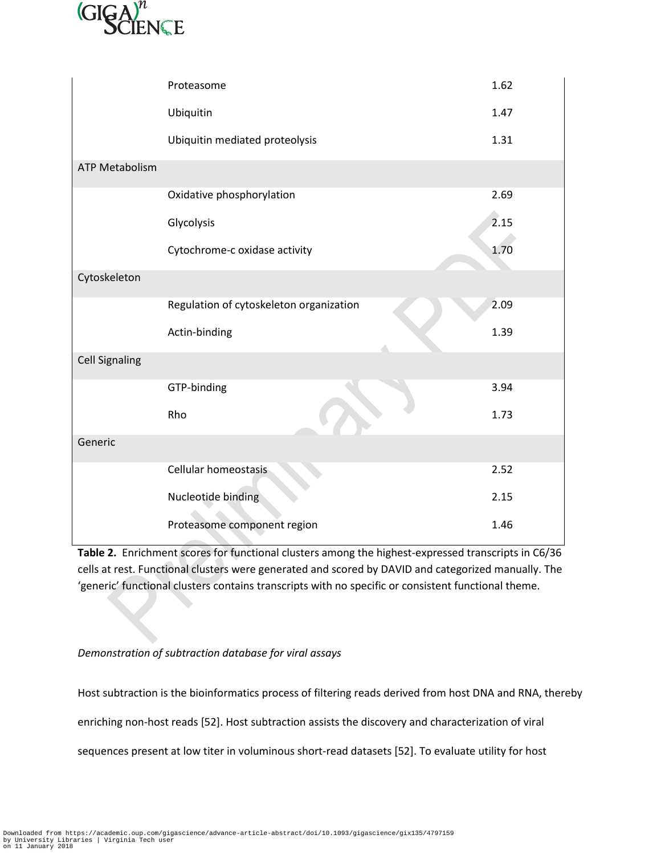

|                       | Proteasome                              | 1.62 |
|-----------------------|-----------------------------------------|------|
|                       | Ubiquitin                               | 1.47 |
|                       | Ubiquitin mediated proteolysis          | 1.31 |
| <b>ATP Metabolism</b> |                                         |      |
|                       | Oxidative phosphorylation               | 2.69 |
|                       | Glycolysis                              | 2.15 |
|                       | Cytochrome-c oxidase activity           | 1.70 |
| Cytoskeleton          |                                         |      |
|                       | Regulation of cytoskeleton organization | 2.09 |
|                       | Actin-binding                           | 1.39 |
| <b>Cell Signaling</b> |                                         |      |
|                       | GTP-binding                             | 3.94 |
|                       | Rho                                     | 1.73 |
| Generic               |                                         |      |
|                       | Cellular homeostasis                    | 2.52 |
|                       | Nucleotide binding                      | 2.15 |
|                       | Proteasome component region             | 1.46 |

**Table 2.** Enrichment scores for functional clusters among the highest-expressed transcripts in C6/36 cells at rest. Functional clusters were generated and scored by DAVID and categorized manually. The 'generic' functional clusters contains transcripts with no specific or consistent functional theme.

# *Demonstration of subtraction database for viral assays*

Host subtraction is the bioinformatics process of filtering reads derived from host DNA and RNA, thereby enriching non-host reads [52]. Host subtraction assists the discovery and characterization of viral sequences present at low titer in voluminous short-read datasets [52]. To evaluate utility for host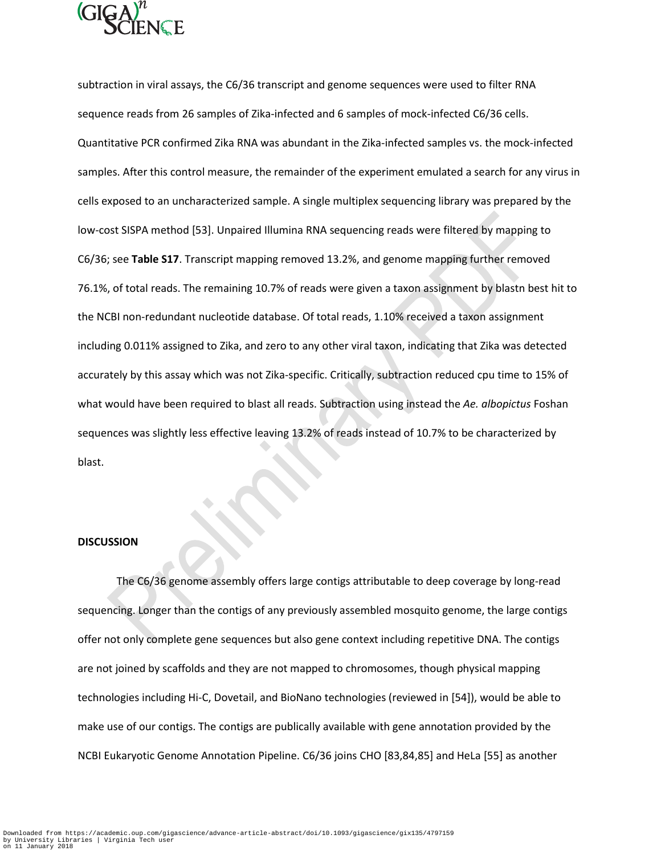

subtraction in viral assays, the C6/36 transcript and genome sequences were used to filter RNA sequence reads from 26 samples of Zika-infected and 6 samples of mock-infected C6/36 cells. Quantitative PCR confirmed Zika RNA was abundant in the Zika-infected samples vs. the mock-infected samples. After this control measure, the remainder of the experiment emulated a search for any virus in cells exposed to an uncharacterized sample. A single multiplex sequencing library was prepared by the low-cost SISPA method [53]. Unpaired Illumina RNA sequencing reads were filtered by mapping to C6/36; see **Table S17**. Transcript mapping removed 13.2%, and genome mapping further removed 76.1%, of total reads. The remaining 10.7% of reads were given a taxon assignment by blastn best hit to the NCBI non-redundant nucleotide database. Of total reads, 1.10% received a taxon assignment including 0.011% assigned to Zika, and zero to any other viral taxon, indicating that Zika was detected accurately by this assay which was not Zika-specific. Critically, subtraction reduced cpu time to 15% of what would have been required to blast all reads. Subtraction using instead the *Ae. albopictus* Foshan sequences was slightly less effective leaving 13.2% of reads instead of 10.7% to be characterized by blast.

#### **DISCUSSION**

The C6/36 genome assembly offers large contigs attributable to deep coverage by long-read sequencing. Longer than the contigs of any previously assembled mosquito genome, the large contigs offer not only complete gene sequences but also gene context including repetitive DNA. The contigs are not joined by scaffolds and they are not mapped to chromosomes, though physical mapping technologies including Hi-C, Dovetail, and BioNano technologies (reviewed in [54]), would be able to make use of our contigs. The contigs are publically available with gene annotation provided by the NCBI Eukaryotic Genome Annotation Pipeline. C6/36 joins CHO [83,84,85] and HeLa [55] as another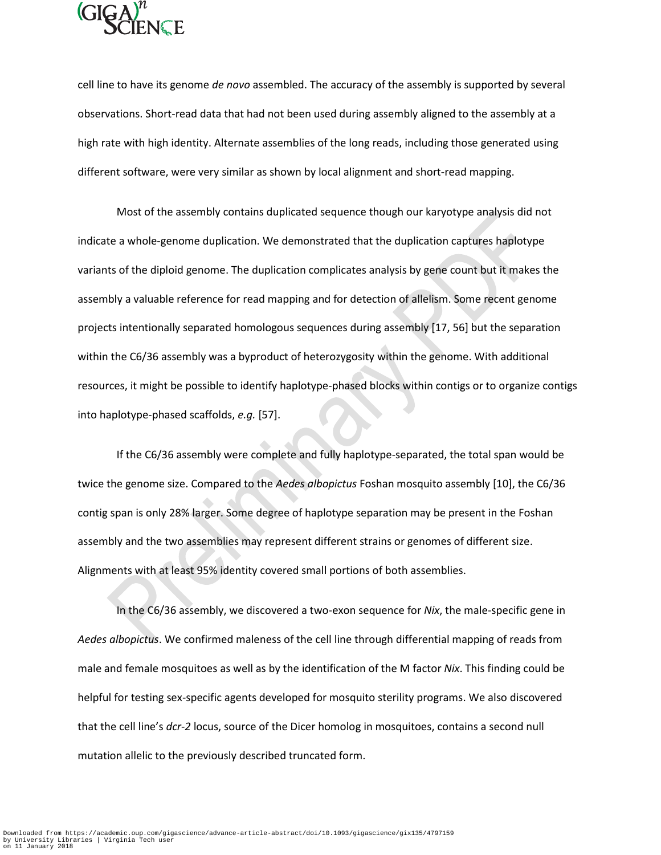

cell line to have its genome *de novo* assembled. The accuracy of the assembly is supported by several observations. Short-read data that had not been used during assembly aligned to the assembly at a high rate with high identity. Alternate assemblies of the long reads, including those generated using different software, were very similar as shown by local alignment and short-read mapping.

Most of the assembly contains duplicated sequence though our karyotype analysis did not indicate a whole-genome duplication. We demonstrated that the duplication captures haplotype variants of the diploid genome. The duplication complicates analysis by gene count but it makes the assembly a valuable reference for read mapping and for detection of allelism. Some recent genome projects intentionally separated homologous sequences during assembly [17, 56] but the separation within the C6/36 assembly was a byproduct of heterozygosity within the genome. With additional resources, it might be possible to identify haplotype-phased blocks within contigs or to organize contigs into haplotype-phased scaffolds, *e.g.* [57].

If the C6/36 assembly were complete and fully haplotype-separated, the total span would be twice the genome size. Compared to the *Aedes albopictus* Foshan mosquito assembly [10], the C6/36 contig span is only 28% larger. Some degree of haplotype separation may be present in the Foshan assembly and the two assemblies may represent different strains or genomes of different size. Alignments with at least 95% identity covered small portions of both assemblies.

In the C6/36 assembly, we discovered a two-exon sequence for *Nix*, the male-specific gene in *Aedes albopictus*. We confirmed maleness of the cell line through differential mapping of reads from male and female mosquitoes as well as by the identification of the M factor *Nix*. This finding could be helpful for testing sex-specific agents developed for mosquito sterility programs. We also discovered that the cell line's *dcr-2* locus, source of the Dicer homolog in mosquitoes, contains a second null mutation allelic to the previously described truncated form.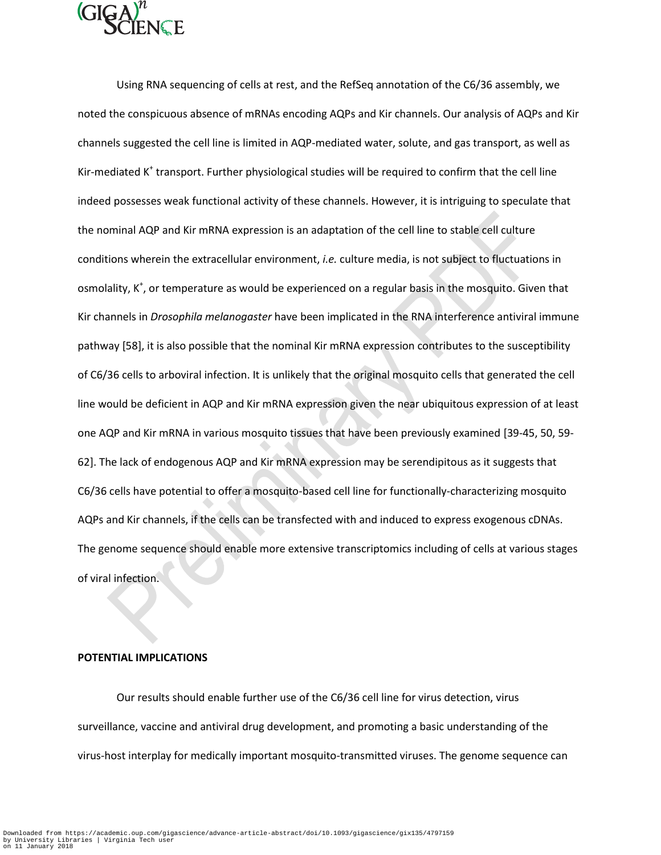

Using RNA sequencing of cells at rest, and the RefSeq annotation of the C6/36 assembly, we noted the conspicuous absence of mRNAs encoding AQPs and Kir channels. Our analysis of AQPs and Kir channels suggested the cell line is limited in AQP-mediated water, solute, and gas transport, as well as Kir-mediated K<sup>+</sup> transport. Further physiological studies will be required to confirm that the cell line indeed possesses weak functional activity of these channels. However, it is intriguing to speculate that the nominal AQP and Kir mRNA expression is an adaptation of the cell line to stable cell culture conditions wherein the extracellular environment, *i.e.* culture media, is not subject to fluctuations in osmolality, K<sup>+</sup>, or temperature as would be experienced on a regular basis in the mosquito. Given that Kir channels in *Drosophila melanogaster* have been implicated in the RNA interference antiviral immune pathway [58], it is also possible that the nominal Kir mRNA expression contributes to the susceptibility of C6/36 cells to arboviral infection. It is unlikely that the original mosquito cells that generated the cell line would be deficient in AQP and Kir mRNA expression given the near ubiquitous expression of at least one AQP and Kir mRNA in various mosquito tissues that have been previously examined [39-45, 50, 59- 62]. The lack of endogenous AQP and Kir mRNA expression may be serendipitous as it suggests that C6/36 cells have potential to offer a mosquito-based cell line for functionally-characterizing mosquito AQPs and Kir channels, if the cells can be transfected with and induced to express exogenous cDNAs. The genome sequence should enable more extensive transcriptomics including of cells at various stages of viral infection.

### **POTENTIAL IMPLICATIONS**

Our results should enable further use of the C6/36 cell line for virus detection, virus surveillance, vaccine and antiviral drug development, and promoting a basic understanding of the virus-host interplay for medically important mosquito-transmitted viruses. The genome sequence can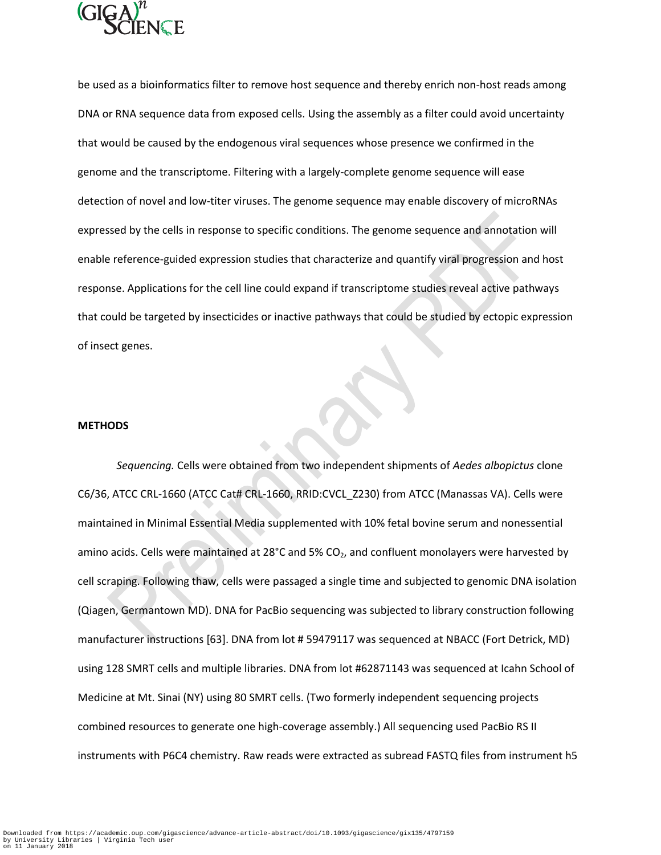

be used as a bioinformatics filter to remove host sequence and thereby enrich non-host reads among DNA or RNA sequence data from exposed cells. Using the assembly as a filter could avoid uncertainty that would be caused by the endogenous viral sequences whose presence we confirmed in the genome and the transcriptome. Filtering with a largely-complete genome sequence will ease detection of novel and low-titer viruses. The genome sequence may enable discovery of microRNAs expressed by the cells in response to specific conditions. The genome sequence and annotation will enable reference-guided expression studies that characterize and quantify viral progression and host response. Applications for the cell line could expand if transcriptome studies reveal active pathways that could be targeted by insecticides or inactive pathways that could be studied by ectopic expression of insect genes.

#### **METHODS**

*Sequencing.* Cells were obtained from two independent shipments of *Aedes albopictus* clone C6/36, ATCC CRL-1660 (ATCC Cat# CRL-1660, RRID:CVCL\_Z230) from ATCC (Manassas VA). Cells were maintained in Minimal Essential Media supplemented with 10% fetal bovine serum and nonessential amino acids. Cells were maintained at 28°C and 5% CO<sub>2</sub>, and confluent monolayers were harvested by cell scraping. Following thaw, cells were passaged a single time and subjected to genomic DNA isolation (Qiagen, Germantown MD). DNA for PacBio sequencing was subjected to library construction following manufacturer instructions [63]. DNA from lot # 59479117 was sequenced at NBACC (Fort Detrick, MD) using 128 SMRT cells and multiple libraries. DNA from lot #62871143 was sequenced at Icahn School of Medicine at Mt. Sinai (NY) using 80 SMRT cells. (Two formerly independent sequencing projects combined resources to generate one high-coverage assembly.) All sequencing used PacBio RS II instruments with P6C4 chemistry. Raw reads were extracted as subread FASTQ files from instrument h5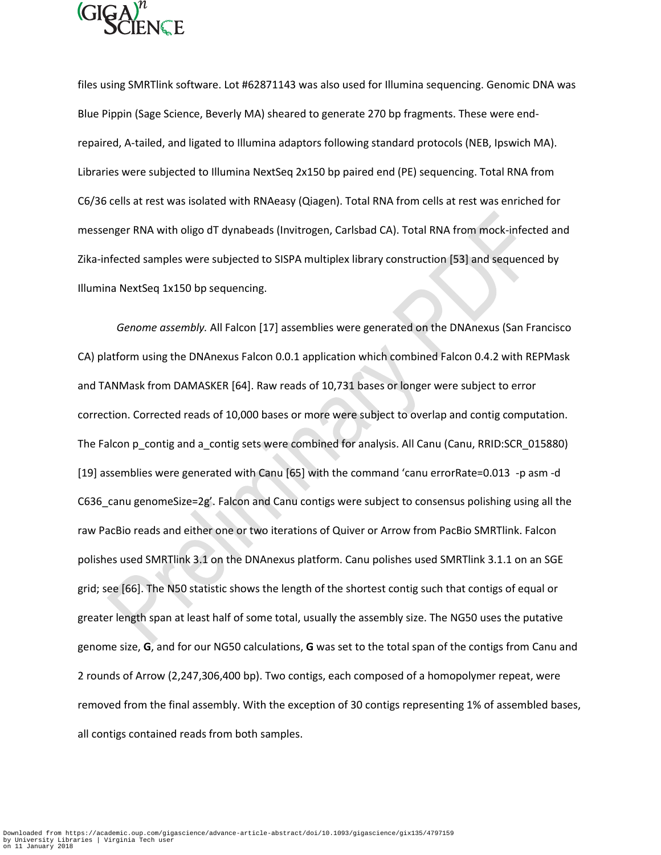

files using SMRTlink software. Lot #62871143 was also used for Illumina sequencing. Genomic DNA was Blue Pippin (Sage Science, Beverly MA) sheared to generate 270 bp fragments. These were endrepaired, A-tailed, and ligated to Illumina adaptors following standard protocols (NEB, Ipswich MA). Libraries were subjected to Illumina NextSeq 2x150 bp paired end (PE) sequencing. Total RNA from C6/36 cells at rest was isolated with RNAeasy (Qiagen). Total RNA from cells at rest was enriched for messenger RNA with oligo dT dynabeads (Invitrogen, Carlsbad CA). Total RNA from mock-infected and Zika-infected samples were subjected to SISPA multiplex library construction [53] and sequenced by Illumina NextSeq 1x150 bp sequencing.

*Genome assembly.* All Falcon [17] assemblies were generated on the DNAnexus (San Francisco CA) platform using the DNAnexus Falcon 0.0.1 application which combined Falcon 0.4.2 with REPMask and TANMask from DAMASKER [64]. Raw reads of 10,731 bases or longer were subject to error correction. Corrected reads of 10,000 bases or more were subject to overlap and contig computation. The Falcon p\_contig and a\_contig sets were combined for analysis. All Canu (Canu, RRID:SCR\_015880) [19] assemblies were generated with Canu [65] with the command 'canu errorRate=0.013 -p asm -d C636 canu genomeSize=2g'. Falcon and Canu contigs were subject to consensus polishing using all the raw PacBio reads and either one or two iterations of Quiver or Arrow from PacBio SMRTlink. Falcon polishes used SMRTlink 3.1 on the DNAnexus platform. Canu polishes used SMRTlink 3.1.1 on an SGE grid; see [66]. The N50 statistic shows the length of the shortest contig such that contigs of equal or greater length span at least half of some total, usually the assembly size. The NG50 uses the putative genome size, **G**, and for our NG50 calculations, **G** was set to the total span of the contigs from Canu and 2 rounds of Arrow (2,247,306,400 bp). Two contigs, each composed of a homopolymer repeat, were removed from the final assembly. With the exception of 30 contigs representing 1% of assembled bases, all contigs contained reads from both samples.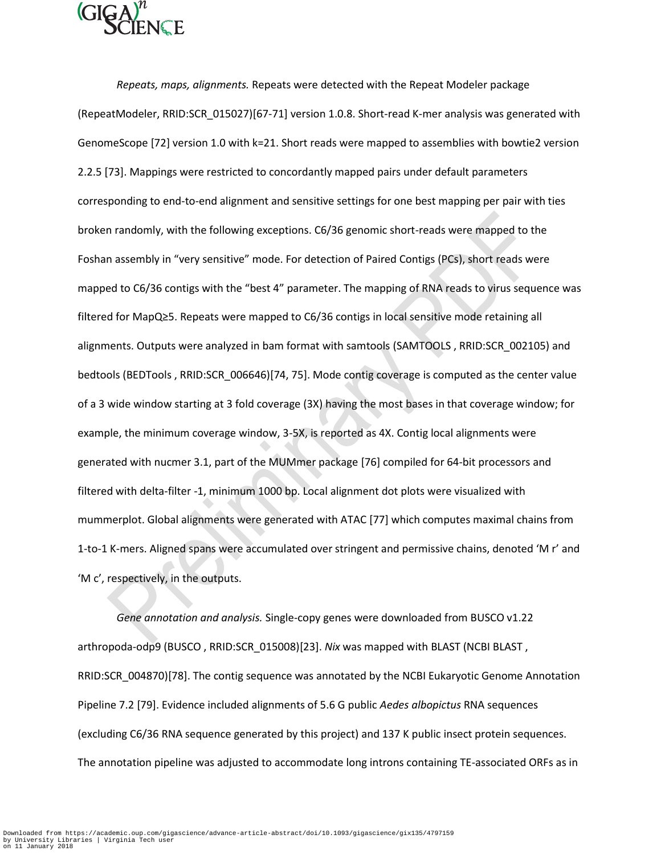

*Repeats, maps, alignments.* Repeats were detected with the Repeat Modeler package (RepeatModeler, RRID:SCR\_015027)[67-71] version 1.0.8. Short-read K-mer analysis was generated with GenomeScope [72] version 1.0 with k=21. Short reads were mapped to assemblies with bowtie2 version 2.2.5 [73]. Mappings were restricted to concordantly mapped pairs under default parameters corresponding to end-to-end alignment and sensitive settings for one best mapping per pair with ties broken randomly, with the following exceptions. C6/36 genomic short-reads were mapped to the Foshan assembly in "very sensitive" mode. For detection of Paired Contigs (PCs), short reads were mapped to C6/36 contigs with the "best 4" parameter. The mapping of RNA reads to virus sequence was filtered for MapQ≥5. Repeats were mapped to C6/36 contigs in local sensitive mode retaining all alignments. Outputs were analyzed in bam format with samtools (SAMTOOLS , RRID:SCR\_002105) and bedtools (BEDTools , RRID:SCR\_006646)[74, 75]. Mode contig coverage is computed as the center value of a 3 wide window starting at 3 fold coverage (3X) having the most bases in that coverage window; for example, the minimum coverage window, 3-5X, is reported as 4X. Contig local alignments were generated with nucmer 3.1, part of the MUMmer package [76] compiled for 64-bit processors and filtered with delta-filter -1, minimum 1000 bp. Local alignment dot plots were visualized with mummerplot. Global alignments were generated with ATAC [77] which computes maximal chains from 1-to-1 K-mers. Aligned spans were accumulated over stringent and permissive chains, denoted 'M r' and 'M c', respectively, in the outputs.

*Gene annotation and analysis.* Single-copy genes were downloaded from BUSCO v1.22 arthropoda-odp9 (BUSCO , RRID:SCR\_015008)[23]. *Nix* was mapped with BLAST (NCBI BLAST , RRID:SCR\_004870)[78]. The contig sequence was annotated by the NCBI Eukaryotic Genome Annotation Pipeline 7.2 [79]. Evidence included alignments of 5.6 G public *Aedes albopictus* RNA sequences (excluding C6/36 RNA sequence generated by this project) and 137 K public insect protein sequences. The annotation pipeline was adjusted to accommodate long introns containing TE-associated ORFs as in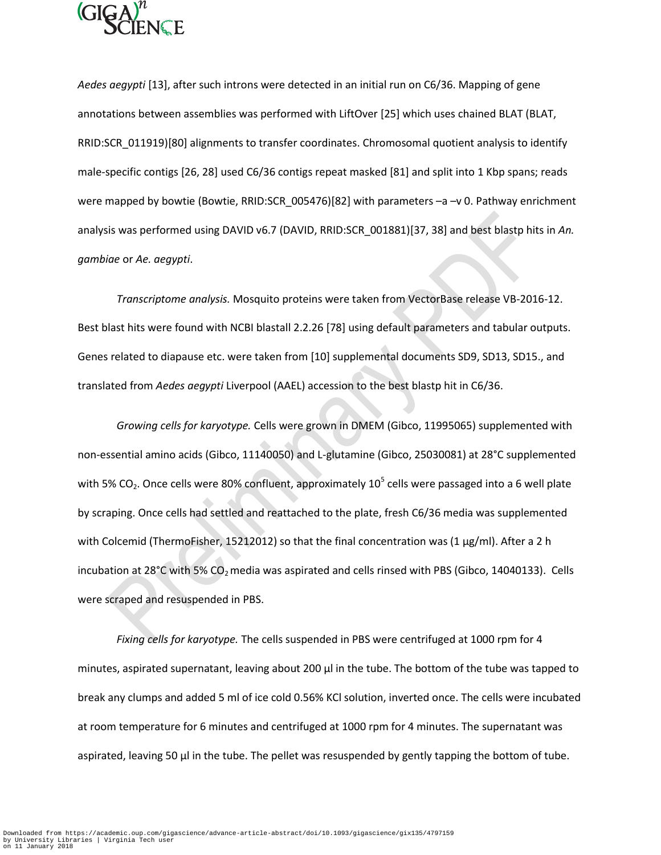

*Aedes aegypti* [13], after such introns were detected in an initial run on C6/36. Mapping of gene annotations between assemblies was performed with LiftOver [25] which uses chained BLAT (BLAT, RRID:SCR\_011919)[80] alignments to transfer coordinates. Chromosomal quotient analysis to identify male-specific contigs [26, 28] used C6/36 contigs repeat masked [81] and split into 1 Kbp spans; reads were mapped by bowtie (Bowtie, RRID:SCR\_005476)[82] with parameters -a -v 0. Pathway enrichment analysis was performed using DAVID v6.7 (DAVID, RRID:SCR\_001881)[37, 38] and best blastp hits in *An. gambiae* or *Ae. aegypti*.

*Transcriptome analysis.* Mosquito proteins were taken from VectorBase release VB-2016-12. Best blast hits were found with NCBI blastall 2.2.26 [78] using default parameters and tabular outputs. Genes related to diapause etc. were taken from [10] supplemental documents SD9, SD13, SD15., and translated from *Aedes aegypti* Liverpool (AAEL) accession to the best blastp hit in C6/36.

*Growing cells for karyotype.* Cells were grown in DMEM (Gibco, 11995065) supplemented with non-essential amino acids (Gibco, 11140050) and L-glutamine (Gibco, 25030081) at 28°C supplemented with 5% CO<sub>2</sub>. Once cells were 80% confluent, approximately 10<sup>5</sup> cells were passaged into a 6 well plate by scraping. Once cells had settled and reattached to the plate, fresh C6/36 media was supplemented with Colcemid (ThermoFisher, 15212012) so that the final concentration was (1 μg/ml). After a 2 h incubation at 28°C with 5%  $CO<sub>2</sub>$  media was aspirated and cells rinsed with PBS (Gibco, 14040133). Cells were scraped and resuspended in PBS.

*Fixing cells for karyotype.* The cells suspended in PBS were centrifuged at 1000 rpm for 4 minutes, aspirated supernatant, leaving about 200 μl in the tube. The bottom of the tube was tapped to break any clumps and added 5 ml of ice cold 0.56% KCl solution, inverted once. The cells were incubated at room temperature for 6 minutes and centrifuged at 1000 rpm for 4 minutes. The supernatant was aspirated, leaving 50 μl in the tube. The pellet was resuspended by gently tapping the bottom of tube.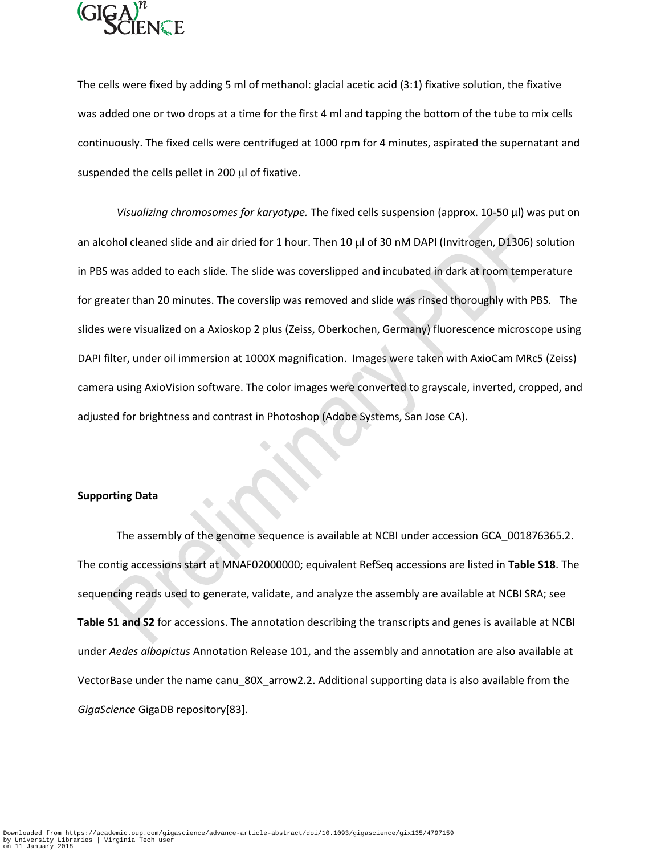

The cells were fixed by adding 5 ml of methanol: glacial acetic acid (3:1) fixative solution, the fixative was added one or two drops at a time for the first 4 ml and tapping the bottom of the tube to mix cells continuously. The fixed cells were centrifuged at 1000 rpm for 4 minutes, aspirated the supernatant and suspended the cells pellet in 200 µl of fixative.

*Visualizing chromosomes for karyotype.* The fixed cells suspension (approx. 10-50 μl) was put on an alcohol cleaned slide and air dried for 1 hour. Then 10  $\mu$  of 30 nM DAPI (Invitrogen, D1306) solution in PBS was added to each slide. The slide was coverslipped and incubated in dark at room temperature for greater than 20 minutes. The coverslip was removed and slide was rinsed thoroughly with PBS. The slides were visualized on a Axioskop 2 plus (Zeiss, Oberkochen, Germany) fluorescence microscope using DAPI filter, under oil immersion at 1000X magnification. Images were taken with AxioCam MRc5 (Zeiss) camera using AxioVision software. The color images were converted to grayscale, inverted, cropped, and adjusted for brightness and contrast in Photoshop (Adobe Systems, San Jose CA).

### **Supporting Data**

The assembly of the genome sequence is available at NCBI under accession GCA\_001876365.2. The contig accessions start at MNAF02000000; equivalent RefSeq accessions are listed in **Table S18**. The sequencing reads used to generate, validate, and analyze the assembly are available at NCBI SRA; see **Table S1 and S2** for accessions. The annotation describing the transcripts and genes is available at NCBI under *Aedes albopictus* Annotation Release 101, and the assembly and annotation are also available at VectorBase under the name canu 80X arrow2.2. Additional supporting data is also available from the *GigaScience* GigaDB repository[83].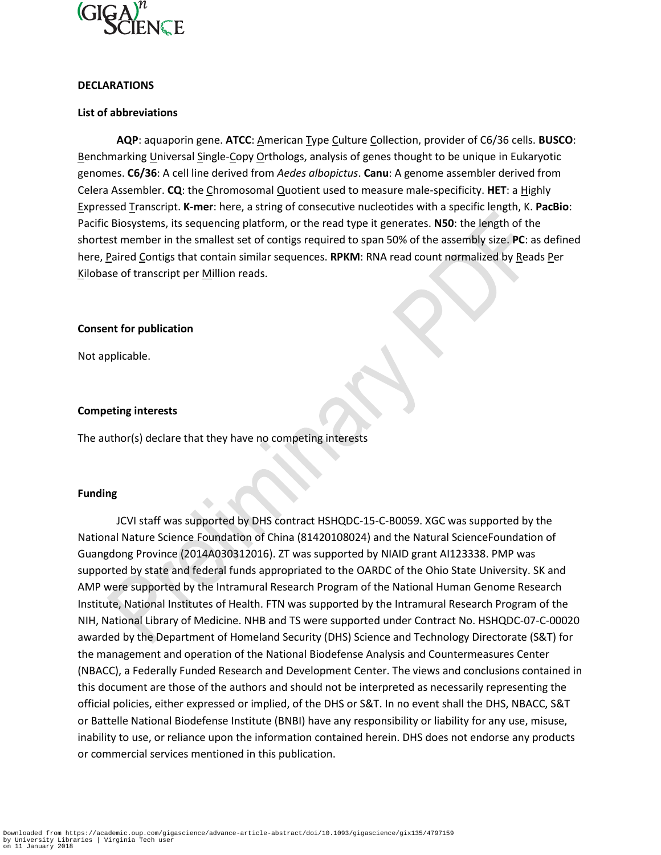

# **DECLARATIONS**

## **List of abbreviations**

**AQP**: aquaporin gene. **ATCC**: American Type Culture Collection, provider of C6/36 cells. **BUSCO**: Benchmarking Universal Single-Copy Orthologs, analysis of genes thought to be unique in Eukaryotic genomes. **C6/36**: A cell line derived from *Aedes albopictus*. **Canu**: A genome assembler derived from Celera Assembler. **CQ**: the Chromosomal Quotient used to measure male-specificity. **HET**: a Highly Expressed Transcript. **K-mer**: here, a string of consecutive nucleotides with a specific length, K. **PacBio**: Pacific Biosystems, its sequencing platform, or the read type it generates. **N50**: the length of the shortest member in the smallest set of contigs required to span 50% of the assembly size. **PC**: as defined here, Paired Contigs that contain similar sequences. **RPKM**: RNA read count normalized by Reads Per Kilobase of transcript per Million reads.

## **Consent for publication**

Not applicable.

## **Competing interests**

The author(s) declare that they have no competing interests

### **Funding**

JCVI staff was supported by DHS contract HSHQDC-15-C-B0059. XGC was supported by the National Nature Science Foundation of China (81420108024) and the Natural ScienceFoundation of Guangdong Province (2014A030312016). ZT was supported by NIAID grant AI123338. PMP was supported by state and federal funds appropriated to the OARDC of the Ohio State University. SK and AMP were supported by the Intramural Research Program of the National Human Genome Research Institute, National Institutes of Health. FTN was supported by the Intramural Research Program of the NIH, National Library of Medicine. NHB and TS were supported under Contract No. HSHQDC-07-C-00020 awarded by the Department of Homeland Security (DHS) Science and Technology Directorate (S&T) for the management and operation of the National Biodefense Analysis and Countermeasures Center (NBACC), a Federally Funded Research and Development Center. The views and conclusions contained in this document are those of the authors and should not be interpreted as necessarily representing the official policies, either expressed or implied, of the DHS or S&T. In no event shall the DHS, NBACC, S&T or Battelle National Biodefense Institute (BNBI) have any responsibility or liability for any use, misuse, inability to use, or reliance upon the information contained herein. DHS does not endorse any products or commercial services mentioned in this publication.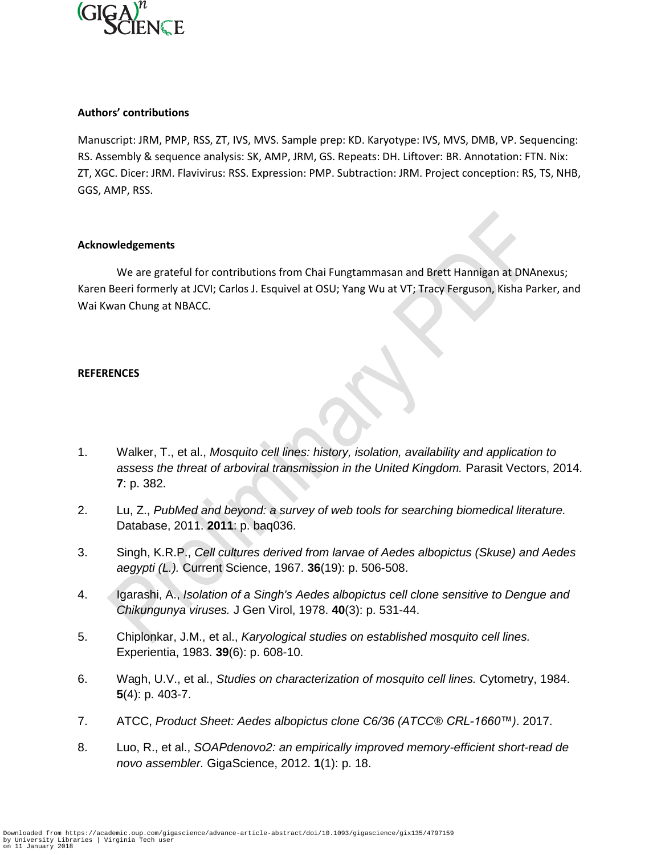

# **Authors' contributions**

Manuscript: JRM, PMP, RSS, ZT, IVS, MVS. Sample prep: KD. Karyotype: IVS, MVS, DMB, VP. Sequencing: RS. Assembly & sequence analysis: SK, AMP, JRM, GS. Repeats: DH. Liftover: BR. Annotation: FTN. Nix: ZT, XGC. Dicer: JRM. Flavivirus: RSS. Expression: PMP. Subtraction: JRM. Project conception: RS, TS, NHB, GGS, AMP, RSS.

## **Acknowledgements**

We are grateful for contributions from Chai Fungtammasan and Brett Hannigan at DNAnexus; Karen Beeri formerly at JCVI; Carlos J. Esquivel at OSU; Yang Wu at VT; Tracy Ferguson, Kisha Parker, and Wai Kwan Chung at NBACC.

# **REFERENCES**

- 1. Walker, T., et al., *Mosquito cell lines: history, isolation, availability and application to assess the threat of arboviral transmission in the United Kingdom.* Parasit Vectors, 2014. **7**: p. 382.
- 2. Lu, Z., *PubMed and beyond: a survey of web tools for searching biomedical literature.* Database, 2011. **2011**: p. baq036.
- 3. Singh, K.R.P., *Cell cultures derived from larvae of Aedes albopictus (Skuse) and Aedes aegypti (L.).* Current Science, 1967. **36**(19): p. 506-508.
- 4. Igarashi, A., *Isolation of a Singh's Aedes albopictus cell clone sensitive to Dengue and Chikungunya viruses.* J Gen Virol, 1978. **40**(3): p. 531-44.
- 5. Chiplonkar, J.M., et al., *Karyological studies on established mosquito cell lines.* Experientia, 1983. **39**(6): p. 608-10.
- 6. Wagh, U.V., et al., *Studies on characterization of mosquito cell lines.* Cytometry, 1984. **5**(4): p. 403-7.
- 7. ATCC, *Product Sheet: Aedes albopictus clone C6/36 (ATCC® CRL1660™)*. 2017.
- 8. Luo, R., et al., *SOAPdenovo2: an empirically improved memory-efficient short-read de novo assembler.* GigaScience, 2012. **1**(1): p. 18.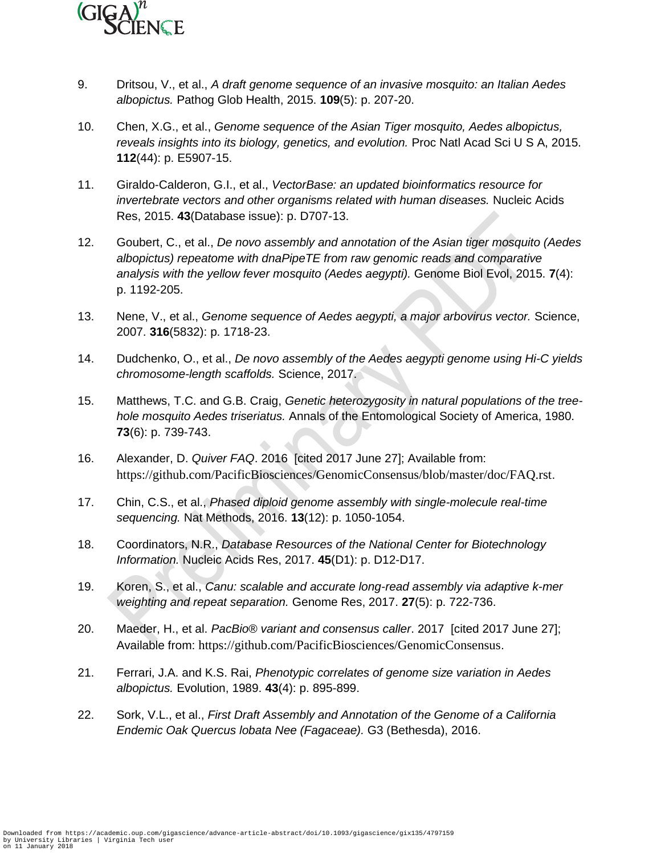

- 9. Dritsou, V., et al., *A draft genome sequence of an invasive mosquito: an Italian Aedes albopictus.* Pathog Glob Health, 2015. **109**(5): p. 207-20.
- 10. Chen, X.G., et al., *Genome sequence of the Asian Tiger mosquito, Aedes albopictus, reveals insights into its biology, genetics, and evolution.* Proc Natl Acad Sci U S A, 2015. **112**(44): p. E5907-15.
- 11. Giraldo-Calderon, G.I., et al., *VectorBase: an updated bioinformatics resource for invertebrate vectors and other organisms related with human diseases.* Nucleic Acids Res, 2015. **43**(Database issue): p. D707-13.
- 12. Goubert, C., et al., *De novo assembly and annotation of the Asian tiger mosquito (Aedes albopictus) repeatome with dnaPipeTE from raw genomic reads and comparative analysis with the yellow fever mosquito (Aedes aegypti).* Genome Biol Evol, 2015. **7**(4): p. 1192-205.
- 13. Nene, V., et al., *Genome sequence of Aedes aegypti, a major arbovirus vector.* Science, 2007. **316**(5832): p. 1718-23.
- 14. Dudchenko, O., et al., *De novo assembly of the Aedes aegypti genome using Hi-C yields chromosome-length scaffolds.* Science, 2017.
- 15. Matthews, T.C. and G.B. Craig, *Genetic heterozygosity in natural populations of the treehole mosquito Aedes triseriatus.* Annals of the Entomological Society of America, 1980. **73**(6): p. 739-743.
- 16. Alexander, D. *Quiver FAQ*. 2016 [cited 2017 June 27]; Available from: https://github.com/PacificBiosciences/GenomicConsensus/blob/master/doc/FAQ.rst.
- 17. Chin, C.S., et al., *Phased diploid genome assembly with single-molecule real-time sequencing.* Nat Methods, 2016. **13**(12): p. 1050-1054.
- 18. Coordinators, N.R., *Database Resources of the National Center for Biotechnology Information.* Nucleic Acids Res, 2017. **45**(D1): p. D12-D17.
- 19. Koren, S., et al., *Canu: scalable and accurate long-read assembly via adaptive k-mer weighting and repeat separation.* Genome Res, 2017. **27**(5): p. 722-736.
- 20. Maeder, H., et al. *PacBio® variant and consensus caller*. 2017 [cited 2017 June 27]; Available from: https://github.com/PacificBiosciences/GenomicConsensus.
- 21. Ferrari, J.A. and K.S. Rai, *Phenotypic correlates of genome size variation in Aedes albopictus.* Evolution, 1989. **43**(4): p. 895-899.
- 22. Sork, V.L., et al., *First Draft Assembly and Annotation of the Genome of a California Endemic Oak Quercus lobata Nee (Fagaceae).* G3 (Bethesda), 2016.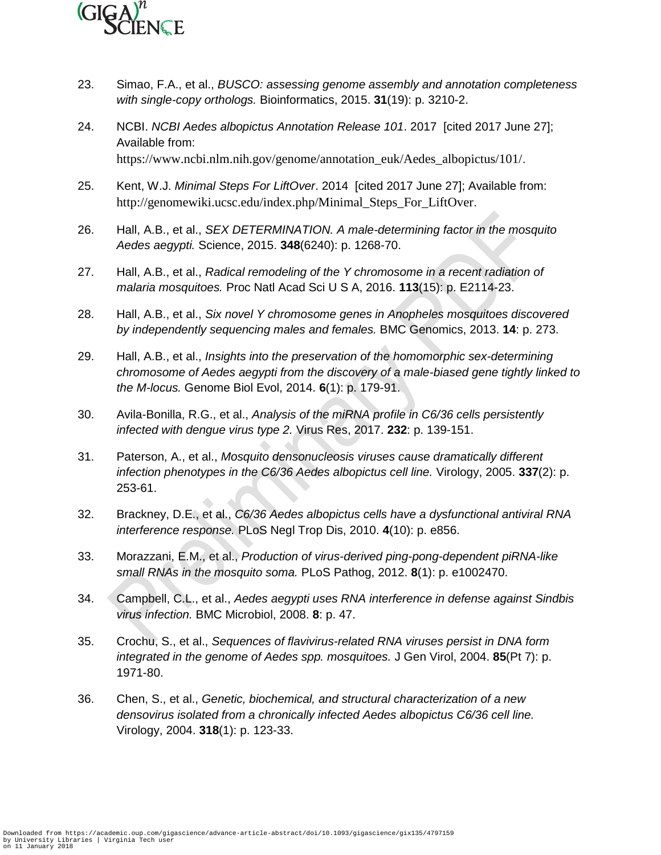

- 23. Simao, F.A., et al., *BUSCO: assessing genome assembly and annotation completeness with single-copy orthologs.* Bioinformatics, 2015. **31**(19): p. 3210-2.
- 24. NCBI. *NCBI Aedes albopictus Annotation Release 101*. 2017 [cited 2017 June 27]; Available from: https://www.ncbi.nlm.nih.gov/genome/annotation\_euk/Aedes\_albopictus/101/.
- 25. Kent, W.J. *Minimal Steps For LiftOver*. 2014 [cited 2017 June 27]; Available from: http://genomewiki.ucsc.edu/index.php/Minimal\_Steps\_For\_LiftOver.
- 26. Hall, A.B., et al., *SEX DETERMINATION. A male-determining factor in the mosquito Aedes aegypti.* Science, 2015. **348**(6240): p. 1268-70.
- 27. Hall, A.B., et al., *Radical remodeling of the Y chromosome in a recent radiation of malaria mosquitoes.* Proc Natl Acad Sci U S A, 2016. **113**(15): p. E2114-23.
- 28. Hall, A.B., et al., *Six novel Y chromosome genes in Anopheles mosquitoes discovered by independently sequencing males and females.* BMC Genomics, 2013. **14**: p. 273.
- 29. Hall, A.B., et al., *Insights into the preservation of the homomorphic sex-determining chromosome of Aedes aegypti from the discovery of a male-biased gene tightly linked to the M-locus.* Genome Biol Evol, 2014. **6**(1): p. 179-91.
- 30. Avila-Bonilla, R.G., et al., *Analysis of the miRNA profile in C6/36 cells persistently infected with dengue virus type 2.* Virus Res, 2017. **232**: p. 139-151.
- 31. Paterson, A., et al., *Mosquito densonucleosis viruses cause dramatically different infection phenotypes in the C6/36 Aedes albopictus cell line.* Virology, 2005. **337**(2): p. 253-61.
- 32. Brackney, D.E., et al., *C6/36 Aedes albopictus cells have a dysfunctional antiviral RNA interference response.* PLoS Negl Trop Dis, 2010. **4**(10): p. e856.
- 33. Morazzani, E.M., et al., *Production of virus-derived ping-pong-dependent piRNA-like small RNAs in the mosquito soma.* PLoS Pathog, 2012. **8**(1): p. e1002470.
- 34. Campbell, C.L., et al., *Aedes aegypti uses RNA interference in defense against Sindbis virus infection.* BMC Microbiol, 2008. **8**: p. 47.
- 35. Crochu, S., et al., *Sequences of flavivirus-related RNA viruses persist in DNA form integrated in the genome of Aedes spp. mosquitoes.* J Gen Virol, 2004. **85**(Pt 7): p. 1971-80.
- 36. Chen, S., et al., *Genetic, biochemical, and structural characterization of a new densovirus isolated from a chronically infected Aedes albopictus C6/36 cell line.* Virology, 2004. **318**(1): p. 123-33.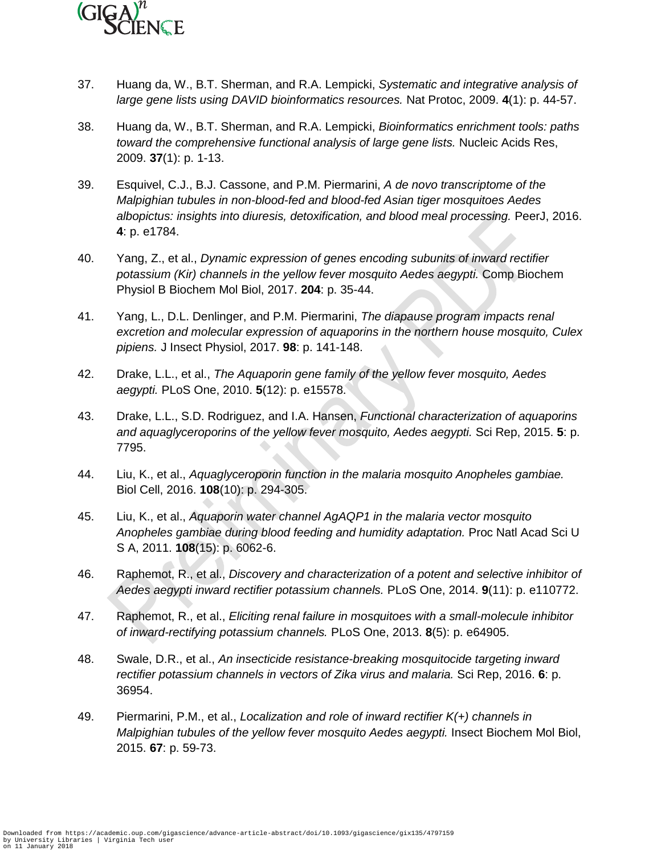

- 37. Huang da, W., B.T. Sherman, and R.A. Lempicki, *Systematic and integrative analysis of large gene lists using DAVID bioinformatics resources.* Nat Protoc, 2009. **4**(1): p. 44-57.
- 38. Huang da, W., B.T. Sherman, and R.A. Lempicki, *Bioinformatics enrichment tools: paths toward the comprehensive functional analysis of large gene lists.* Nucleic Acids Res, 2009. **37**(1): p. 1-13.
- 39. Esquivel, C.J., B.J. Cassone, and P.M. Piermarini, *A de novo transcriptome of the Malpighian tubules in non-blood-fed and blood-fed Asian tiger mosquitoes Aedes albopictus: insights into diuresis, detoxification, and blood meal processing.* PeerJ, 2016. **4**: p. e1784.
- 40. Yang, Z., et al., *Dynamic expression of genes encoding subunits of inward rectifier potassium (Kir) channels in the yellow fever mosquito Aedes aegypti.* Comp Biochem Physiol B Biochem Mol Biol, 2017. **204**: p. 35-44.
- 41. Yang, L., D.L. Denlinger, and P.M. Piermarini, *The diapause program impacts renal excretion and molecular expression of aquaporins in the northern house mosquito, Culex pipiens.* J Insect Physiol, 2017. **98**: p. 141-148.
- 42. Drake, L.L., et al., *The Aquaporin gene family of the yellow fever mosquito, Aedes aegypti.* PLoS One, 2010. **5**(12): p. e15578.
- 43. Drake, L.L., S.D. Rodriguez, and I.A. Hansen, *Functional characterization of aquaporins and aquaglyceroporins of the yellow fever mosquito, Aedes aegypti.* Sci Rep, 2015. **5**: p. 7795.
- 44. Liu, K., et al., *Aquaglyceroporin function in the malaria mosquito Anopheles gambiae.* Biol Cell, 2016. **108**(10): p. 294-305.
- 45. Liu, K., et al., *Aquaporin water channel AgAQP1 in the malaria vector mosquito Anopheles gambiae during blood feeding and humidity adaptation.* Proc Natl Acad Sci U S A, 2011. **108**(15): p. 6062-6.
- 46. Raphemot, R., et al., *Discovery and characterization of a potent and selective inhibitor of Aedes aegypti inward rectifier potassium channels.* PLoS One, 2014. **9**(11): p. e110772.
- 47. Raphemot, R., et al., *Eliciting renal failure in mosquitoes with a small-molecule inhibitor of inward-rectifying potassium channels.* PLoS One, 2013. **8**(5): p. e64905.
- 48. Swale, D.R., et al., *An insecticide resistance-breaking mosquitocide targeting inward rectifier potassium channels in vectors of Zika virus and malaria.* Sci Rep, 2016. **6**: p. 36954.
- 49. Piermarini, P.M., et al., *Localization and role of inward rectifier K(+) channels in Malpighian tubules of the yellow fever mosquito Aedes aegypti.* Insect Biochem Mol Biol, 2015. **67**: p. 59-73.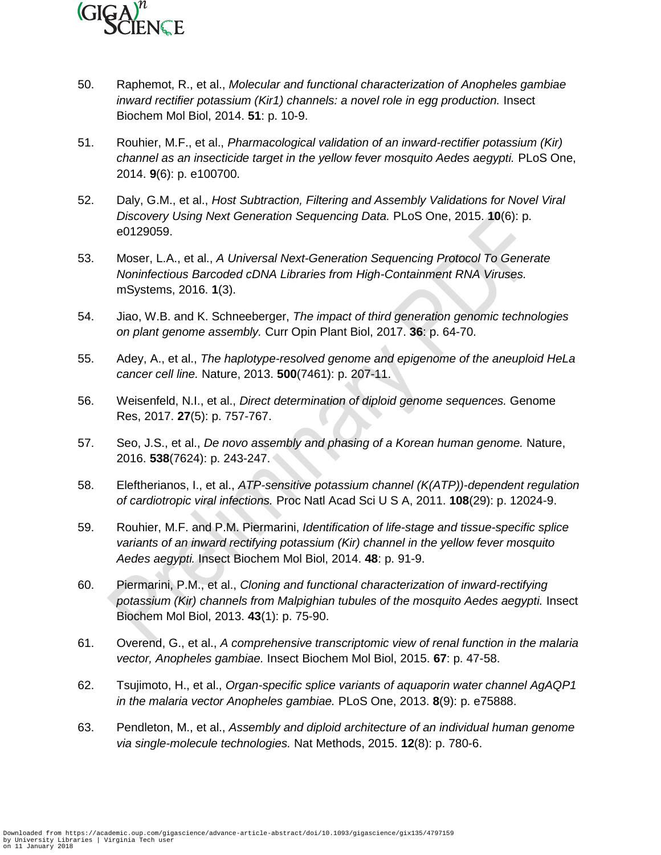

- 50. Raphemot, R., et al., *Molecular and functional characterization of Anopheles gambiae inward rectifier potassium (Kir1) channels: a novel role in egg production.* Insect Biochem Mol Biol, 2014. **51**: p. 10-9.
- 51. Rouhier, M.F., et al., *Pharmacological validation of an inward-rectifier potassium (Kir) channel as an insecticide target in the yellow fever mosquito Aedes aegypti.* PLoS One, 2014. **9**(6): p. e100700.
- 52. Daly, G.M., et al., *Host Subtraction, Filtering and Assembly Validations for Novel Viral Discovery Using Next Generation Sequencing Data.* PLoS One, 2015. **10**(6): p. e0129059.
- 53. Moser, L.A., et al., *A Universal Next-Generation Sequencing Protocol To Generate Noninfectious Barcoded cDNA Libraries from High-Containment RNA Viruses.* mSystems, 2016. **1**(3).
- 54. Jiao, W.B. and K. Schneeberger, *The impact of third generation genomic technologies on plant genome assembly.* Curr Opin Plant Biol, 2017. **36**: p. 64-70.
- 55. Adey, A., et al., *The haplotype-resolved genome and epigenome of the aneuploid HeLa cancer cell line.* Nature, 2013. **500**(7461): p. 207-11.
- 56. Weisenfeld, N.I., et al., *Direct determination of diploid genome sequences.* Genome Res, 2017. **27**(5): p. 757-767.
- 57. Seo, J.S., et al., *De novo assembly and phasing of a Korean human genome.* Nature, 2016. **538**(7624): p. 243-247.
- 58. Eleftherianos, I., et al., *ATP-sensitive potassium channel (K(ATP))-dependent regulation of cardiotropic viral infections.* Proc Natl Acad Sci U S A, 2011. **108**(29): p. 12024-9.
- 59. Rouhier, M.F. and P.M. Piermarini, *Identification of life-stage and tissue-specific splice variants of an inward rectifying potassium (Kir) channel in the yellow fever mosquito Aedes aegypti.* Insect Biochem Mol Biol, 2014. **48**: p. 91-9.
- 60. Piermarini, P.M., et al., *Cloning and functional characterization of inward-rectifying potassium (Kir) channels from Malpighian tubules of the mosquito Aedes aegypti.* Insect Biochem Mol Biol, 2013. **43**(1): p. 75-90.
- 61. Overend, G., et al., *A comprehensive transcriptomic view of renal function in the malaria vector, Anopheles gambiae.* Insect Biochem Mol Biol, 2015. **67**: p. 47-58.
- 62. Tsujimoto, H., et al., *Organ-specific splice variants of aquaporin water channel AgAQP1 in the malaria vector Anopheles gambiae.* PLoS One, 2013. **8**(9): p. e75888.
- 63. Pendleton, M., et al., *Assembly and diploid architecture of an individual human genome via single-molecule technologies.* Nat Methods, 2015. **12**(8): p. 780-6.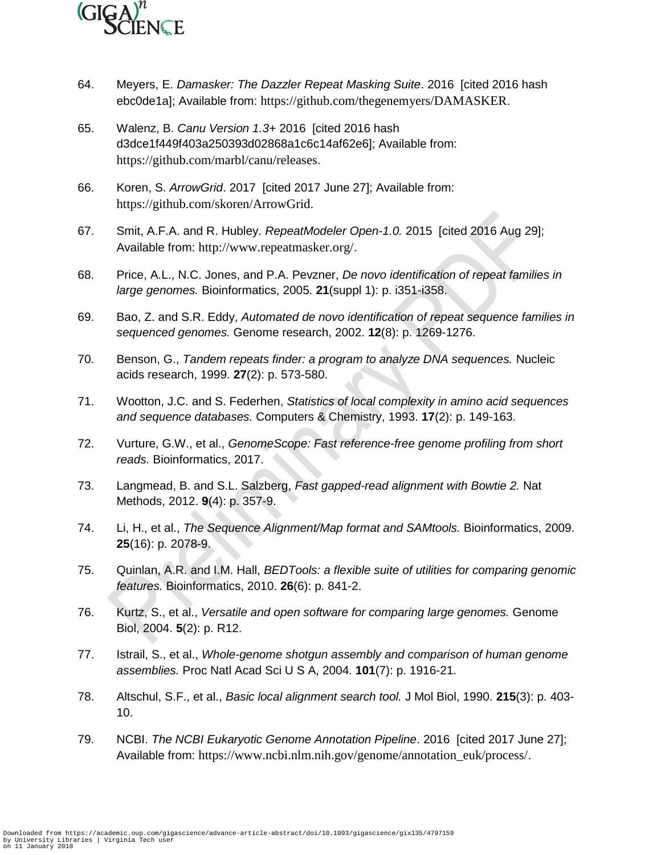

- 64. Meyers, E. *Damasker: The Dazzler Repeat Masking Suite*. 2016 [cited 2016 hash ebc0de1a]; Available from: https://github.com/thegenemyers/DAMASKER.
- 65. Walenz, B. *Canu Version 1.3+* 2016 [cited 2016 hash d3dce1f449f403a250393d02868a1c6c14af62e6]; Available from: https://github.com/marbl/canu/releases.
- 66. Koren, S. *ArrowGrid*. 2017 [cited 2017 June 27]; Available from: https://github.com/skoren/ArrowGrid.
- 67. Smit, A.F.A. and R. Hubley. *RepeatModeler Open-1.0.* 2015 [cited 2016 Aug 29]; Available from: http://www.repeatmasker.org/.
- 68. Price, A.L., N.C. Jones, and P.A. Pevzner, *De novo identification of repeat families in large genomes.* Bioinformatics, 2005. **21**(suppl 1): p. i351-i358.
- 69. Bao, Z. and S.R. Eddy, *Automated de novo identification of repeat sequence families in sequenced genomes.* Genome research, 2002. **12**(8): p. 1269-1276.
- 70. Benson, G., *Tandem repeats finder: a program to analyze DNA sequences.* Nucleic acids research, 1999. **27**(2): p. 573-580.
- 71. Wootton, J.C. and S. Federhen, *Statistics of local complexity in amino acid sequences and sequence databases.* Computers & Chemistry, 1993. **17**(2): p. 149-163.
- 72. Vurture, G.W., et al., *GenomeScope: Fast reference-free genome profiling from short reads.* Bioinformatics, 2017.
- 73. Langmead, B. and S.L. Salzberg, *Fast gapped-read alignment with Bowtie 2.* Nat Methods, 2012. **9**(4): p. 357-9.
- 74. Li, H., et al., *The Sequence Alignment/Map format and SAMtools.* Bioinformatics, 2009. **25**(16): p. 2078-9.
- 75. Quinlan, A.R. and I.M. Hall, *BEDTools: a flexible suite of utilities for comparing genomic features.* Bioinformatics, 2010. **26**(6): p. 841-2.
- 76. Kurtz, S., et al., *Versatile and open software for comparing large genomes.* Genome Biol, 2004. **5**(2): p. R12.
- 77. Istrail, S., et al., *Whole-genome shotgun assembly and comparison of human genome assemblies.* Proc Natl Acad Sci U S A, 2004. **101**(7): p. 1916-21.
- 78. Altschul, S.F., et al., *Basic local alignment search tool.* J Mol Biol, 1990. **215**(3): p. 403- 10.
- 79. NCBI. *The NCBI Eukaryotic Genome Annotation Pipeline*. 2016 [cited 2017 June 27]; Available from: https://www.ncbi.nlm.nih.gov/genome/annotation\_euk/process/.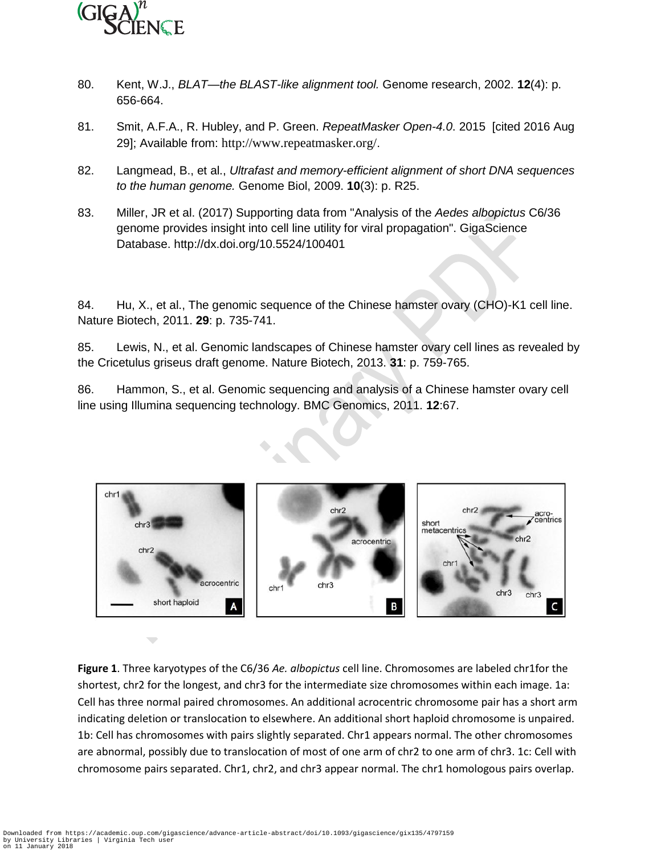

- 80. Kent, W.J., *BLAT—the BLAST-like alignment tool.* Genome research, 2002. **12**(4): p. 656-664.
- 81. Smit, A.F.A., R. Hubley, and P. Green. *RepeatMasker Open-4.0*. 2015 [cited 2016 Aug 29]; Available from: http://www.repeatmasker.org/.
- 82. Langmead, B., et al., *Ultrafast and memory-efficient alignment of short DNA sequences to the human genome.* Genome Biol, 2009. **10**(3): p. R25.
- 83. Miller, JR et al. (2017) Supporting data from "Analysis of the *Aedes albopictus* C6/36 genome provides insight into cell line utility for viral propagation". GigaScience Database. http://dx.doi.org/10.5524/100401

84. Hu, X., et al., The genomic sequence of the Chinese hamster ovary (CHO)-K1 cell line. Nature Biotech, 2011. **29**: p. 735-741.

85. Lewis, N., et al. Genomic landscapes of Chinese hamster ovary cell lines as revealed by the Cricetulus griseus draft genome. Nature Biotech, 2013. **31**: p. 759-765.

86. Hammon, S., et al. Genomic sequencing and analysis of a Chinese hamster ovary cell line using Illumina sequencing technology. BMC Genomics, 2011. **12**:67.



**Figure 1**. Three karyotypes of the C6/36 *Ae. albopictus* cell line. Chromosomes are labeled chr1for the shortest, chr2 for the longest, and chr3 for the intermediate size chromosomes within each image. 1a: Cell has three normal paired chromosomes. An additional acrocentric chromosome pair has a short arm indicating deletion or translocation to elsewhere. An additional short haploid chromosome is unpaired. 1b: Cell has chromosomes with pairs slightly separated. Chr1 appears normal. The other chromosomes are abnormal, possibly due to translocation of most of one arm of chr2 to one arm of chr3. 1c: Cell with chromosome pairs separated. Chr1, chr2, and chr3 appear normal. The chr1 homologous pairs overlap.

 $\overline{\phantom{0}}$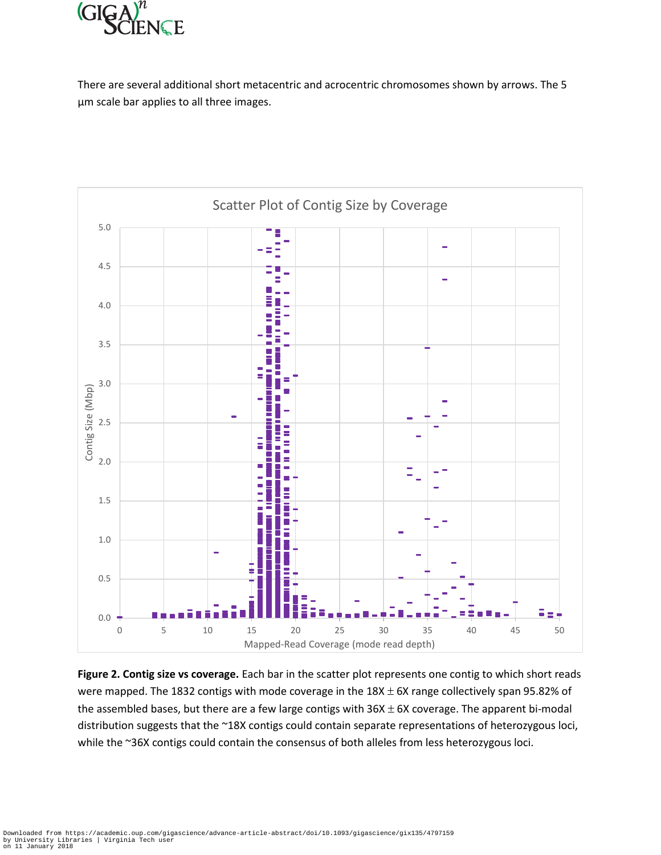

There are several additional short metacentric and acrocentric chromosomes shown by arrows. The 5 μm scale bar applies to all three images.



**Figure 2. Contig size vs coverage.** Each bar in the scatter plot represents one contig to which short reads were mapped. The 1832 contigs with mode coverage in the  $18X \pm 6X$  range collectively span 95.82% of the assembled bases, but there are a few large contigs with  $36X \pm 6X$  coverage. The apparent bi-modal distribution suggests that the ~18X contigs could contain separate representations of heterozygous loci, while the ~36X contigs could contain the consensus of both alleles from less heterozygous loci.